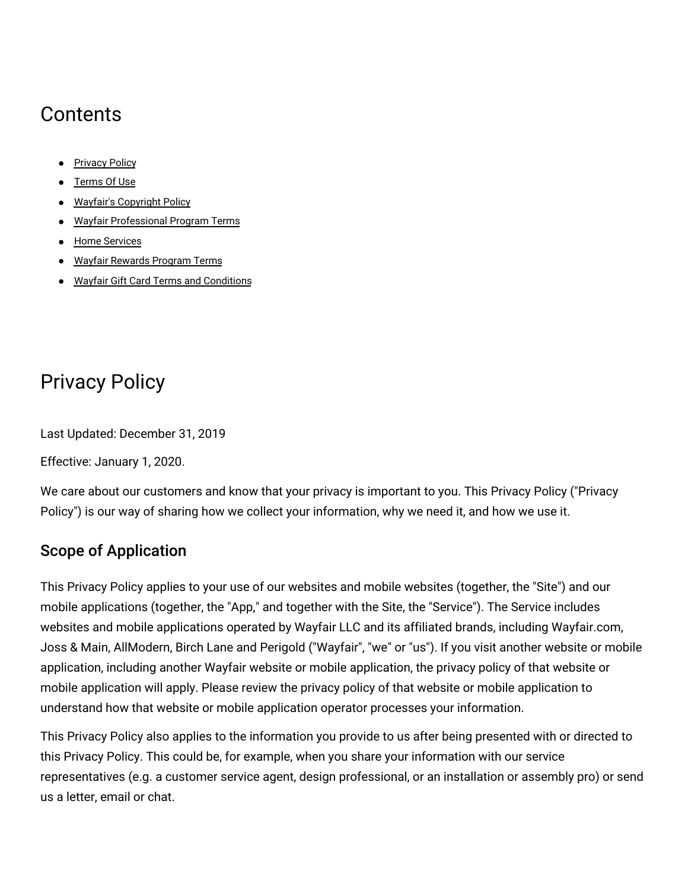# **Contents**

- [Privacy](#privacy) Policy
- [Terms](#terms) Of Use
- Wayfair's [Copyright](#copyright) Policy
- Wayfair [Professional](#professionalprogram) Program Terms
- Home [Services](#homesvcs)
- Wayfair [Rewards](#rewards) Program Terms
- Wayfair Gift Card Terms and [Conditions](#gcterms)

# Privacy Policy

Last Updated: December 31, 2019

Effective: January 1, 2020.

We care about our customers and know that your privacy is important to you. This Privacy Policy ("Privacy Policy") is our way of sharing how we collect your information, why we need it, and how we use it.

# Scope of Application

This Privacy Policy applies to your use of our websites and mobile websites (together, the "Site") and our mobile applications (together, the "App," and together with the Site, the "Service"). The Service includes websites and mobile applications operated by Wayfair LLC and its affiliated brands, including Wayfair.com, Joss & Main, AllModern, Birch Lane and Perigold ("Wayfair", "we" or "us"). If you visit another website or mobile application, including another Wayfair website or mobile application, the privacy policy of that website or mobile application will apply. Please review the privacy policy of that website or mobile application to understand how that website or mobile application operator processes your information.

This Privacy Policy also applies to the information you provide to us after being presented with or directed to this Privacy Policy. This could be, for example, when you share your information with our service representatives (e.g. a customer service agent, design professional, or an installation or assembly pro) or send us a letter, email or chat.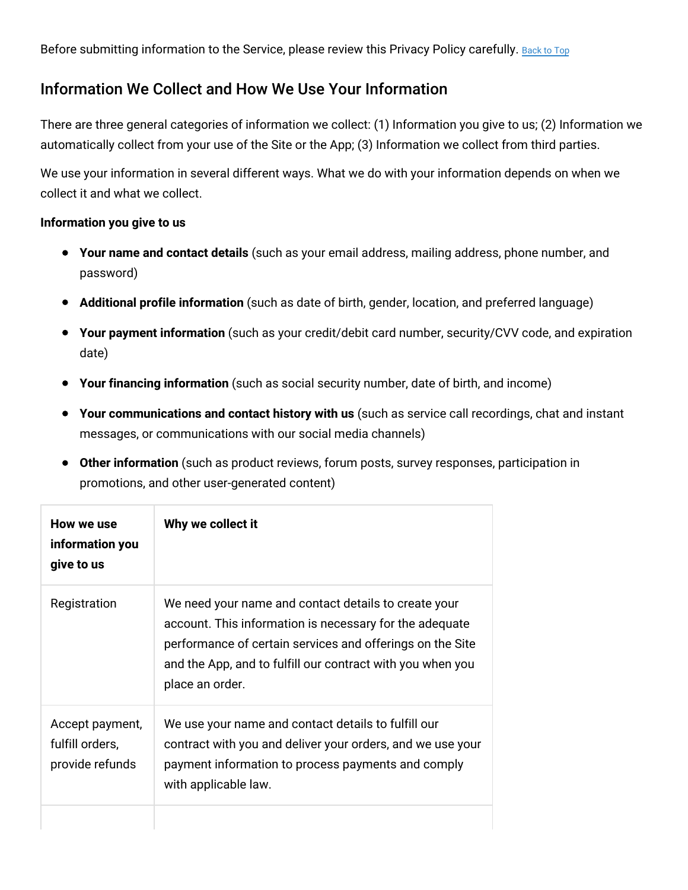Before submitting information to the Service, please review this Privacy Policy carefully. [Back](#top) to Top

# Information We Collect and How We Use Your Information

There are three general categories of information we collect: (1) Information you give to us; (2) Information we automatically collect from your use of the Site or the App; (3) Information we collect from third parties.

We use your information in several different ways. What we do with your information depends on when we collect it and what we collect.

#### **Information you give to us**

- **Your name and contact details** (such as your email address, mailing address, phone number, and password)
- **Additional profile information** (such as date of birth, gender, location, and preferred language)
- **Your payment information** (such as your credit/debit card number, security/CVV code, and expiration date)
- **Your financing information** (such as social security number, date of birth, and income)
- **Your communications and contact history with us** (such as service call recordings, chat and instant messages, or communications with our social media channels)
- **Other information** (such as product reviews, forum posts, survey responses, participation in promotions, and other user-generated content)

| How we use<br>information you<br>give to us           | Why we collect it                                                                                                                                                                                                                                             |
|-------------------------------------------------------|---------------------------------------------------------------------------------------------------------------------------------------------------------------------------------------------------------------------------------------------------------------|
| Registration                                          | We need your name and contact details to create your<br>account. This information is necessary for the adequate<br>performance of certain services and offerings on the Site<br>and the App, and to fulfill our contract with you when you<br>place an order. |
| Accept payment,<br>fulfill orders,<br>provide refunds | We use your name and contact details to fulfill our<br>contract with you and deliver your orders, and we use your<br>payment information to process payments and comply<br>with applicable law.                                                               |
|                                                       |                                                                                                                                                                                                                                                               |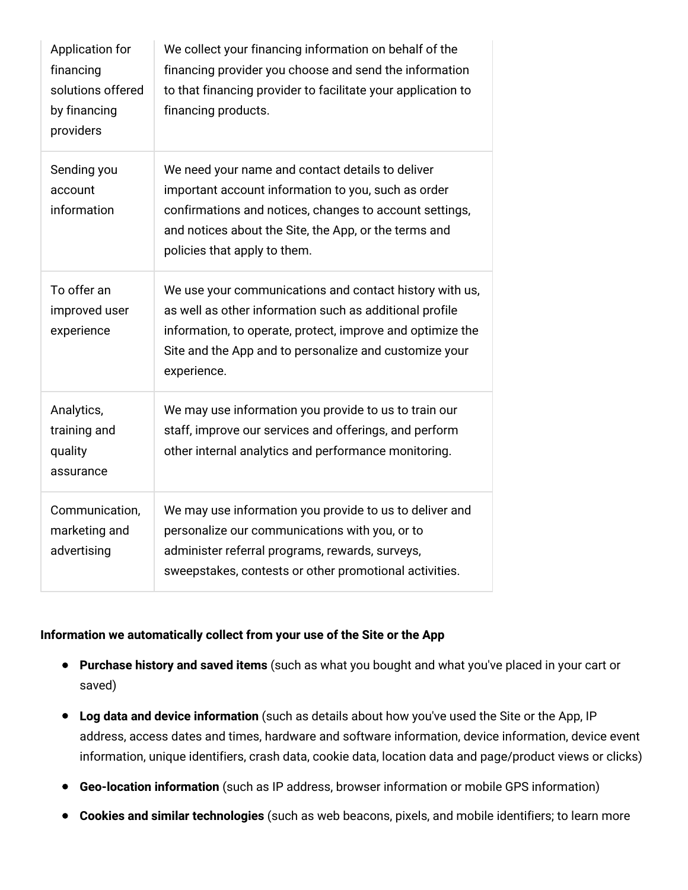| Application for<br>financing<br>solutions offered<br>by financing<br>providers | We collect your financing information on behalf of the<br>financing provider you choose and send the information<br>to that financing provider to facilitate your application to<br>financing products.                                                     |
|--------------------------------------------------------------------------------|-------------------------------------------------------------------------------------------------------------------------------------------------------------------------------------------------------------------------------------------------------------|
| Sending you<br>account<br>information                                          | We need your name and contact details to deliver<br>important account information to you, such as order<br>confirmations and notices, changes to account settings,<br>and notices about the Site, the App, or the terms and<br>policies that apply to them. |
| To offer an<br>improved user<br>experience                                     | We use your communications and contact history with us,<br>as well as other information such as additional profile<br>information, to operate, protect, improve and optimize the<br>Site and the App and to personalize and customize your<br>experience.   |
| Analytics,<br>training and<br>quality<br>assurance                             | We may use information you provide to us to train our<br>staff, improve our services and offerings, and perform<br>other internal analytics and performance monitoring.                                                                                     |
| Communication,<br>marketing and<br>advertising                                 | We may use information you provide to us to deliver and<br>personalize our communications with you, or to<br>administer referral programs, rewards, surveys,<br>sweepstakes, contests or other promotional activities.                                      |

## **Information we automatically collect from your use of the Site or the App**

- **Purchase history and saved items** (such as what you bought and what you've placed in your cart or saved)
- **Log data and device information** (such as details about how you've used the Site or the App, IP address, access dates and times, hardware and software information, device information, device event information, unique identifiers, crash data, cookie data, location data and page/product views or clicks)
- **Geo-location information** (such as IP address, browser information or mobile GPS information)
- **Cookies and similar technologies** (such as web beacons, pixels, and mobile identifiers; to learn more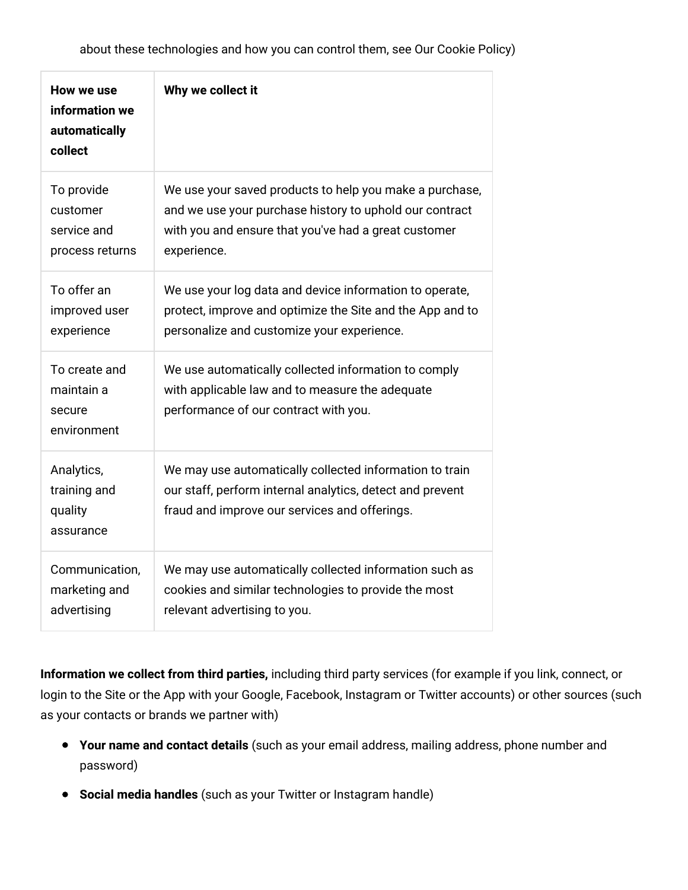| How we use<br>information we<br>automatically<br>collect | Why we collect it                                                                                                                                                     |
|----------------------------------------------------------|-----------------------------------------------------------------------------------------------------------------------------------------------------------------------|
| To provide                                               | We use your saved products to help you make a purchase,                                                                                                               |
| customer                                                 | and we use your purchase history to uphold our contract                                                                                                               |
| service and                                              | with you and ensure that you've had a great customer                                                                                                                  |
| process returns                                          | experience.                                                                                                                                                           |
| To offer an                                              | We use your log data and device information to operate,                                                                                                               |
| improved user                                            | protect, improve and optimize the Site and the App and to                                                                                                             |
| experience                                               | personalize and customize your experience.                                                                                                                            |
| To create and<br>maintain a<br>secure<br>environment     | We use automatically collected information to comply<br>with applicable law and to measure the adequate<br>performance of our contract with you.                      |
| Analytics,<br>training and<br>quality<br>assurance       | We may use automatically collected information to train<br>our staff, perform internal analytics, detect and prevent<br>fraud and improve our services and offerings. |
| Communication,                                           | We may use automatically collected information such as                                                                                                                |
| marketing and                                            | cookies and similar technologies to provide the most                                                                                                                  |
| advertising                                              | relevant advertising to you.                                                                                                                                          |

**Information we collect from third parties,** including third party services (for example if you link, connect, or login to the Site or the App with your Google, Facebook, Instagram or Twitter accounts) or other sources (such as your contacts or brands we partner with)

- **Your name and contact details** (such as your email address, mailing address, phone number and password)
- **Social media handles** (such as your Twitter or Instagram handle)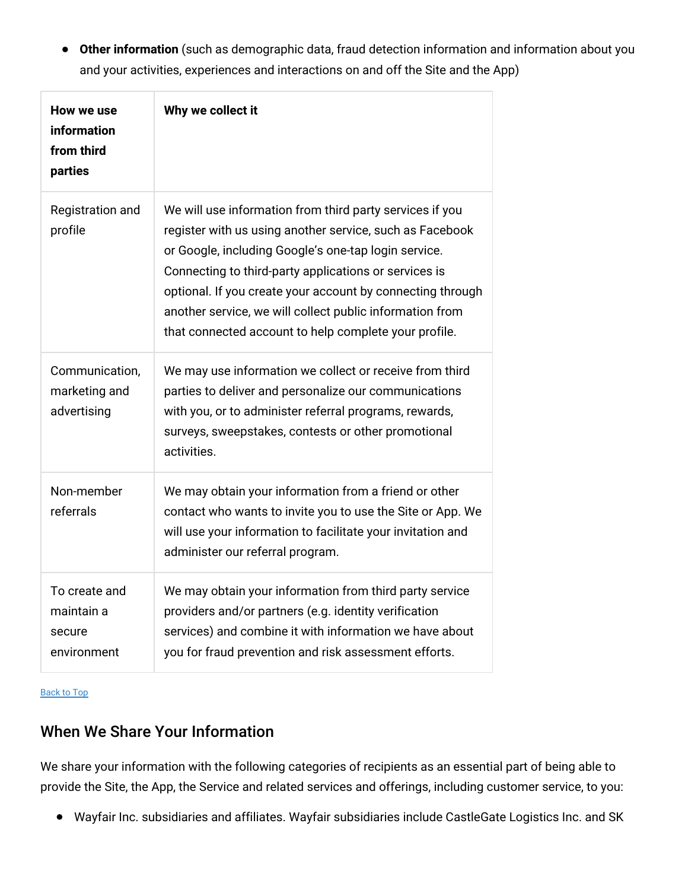**Other information** (such as demographic data, fraud detection information and information about you and your activities, experiences and interactions on and off the Site and the App)

| How we use<br>information<br>from third<br>parties   | Why we collect it                                                                                                                                                                                                                                                                                                                                                                                                        |
|------------------------------------------------------|--------------------------------------------------------------------------------------------------------------------------------------------------------------------------------------------------------------------------------------------------------------------------------------------------------------------------------------------------------------------------------------------------------------------------|
| Registration and<br>profile                          | We will use information from third party services if you<br>register with us using another service, such as Facebook<br>or Google, including Google's one-tap login service.<br>Connecting to third-party applications or services is<br>optional. If you create your account by connecting through<br>another service, we will collect public information from<br>that connected account to help complete your profile. |
| Communication,<br>marketing and<br>advertising       | We may use information we collect or receive from third<br>parties to deliver and personalize our communications<br>with you, or to administer referral programs, rewards,<br>surveys, sweepstakes, contests or other promotional<br>activities.                                                                                                                                                                         |
| Non-member<br>referrals                              | We may obtain your information from a friend or other<br>contact who wants to invite you to use the Site or App. We<br>will use your information to facilitate your invitation and<br>administer our referral program.                                                                                                                                                                                                   |
| To create and<br>maintain a<br>secure<br>environment | We may obtain your information from third party service<br>providers and/or partners (e.g. identity verification<br>services) and combine it with information we have about<br>you for fraud prevention and risk assessment efforts.                                                                                                                                                                                     |

[Back](#top) to Top

# When We Share Your Information

We share your information with the following categories of recipients as an essential part of being able to provide the Site, the App, the Service and related services and offerings, including customer service, to you:

Wayfair Inc. subsidiaries and affiliates. Wayfair subsidiaries include CastleGate Logistics Inc. and SK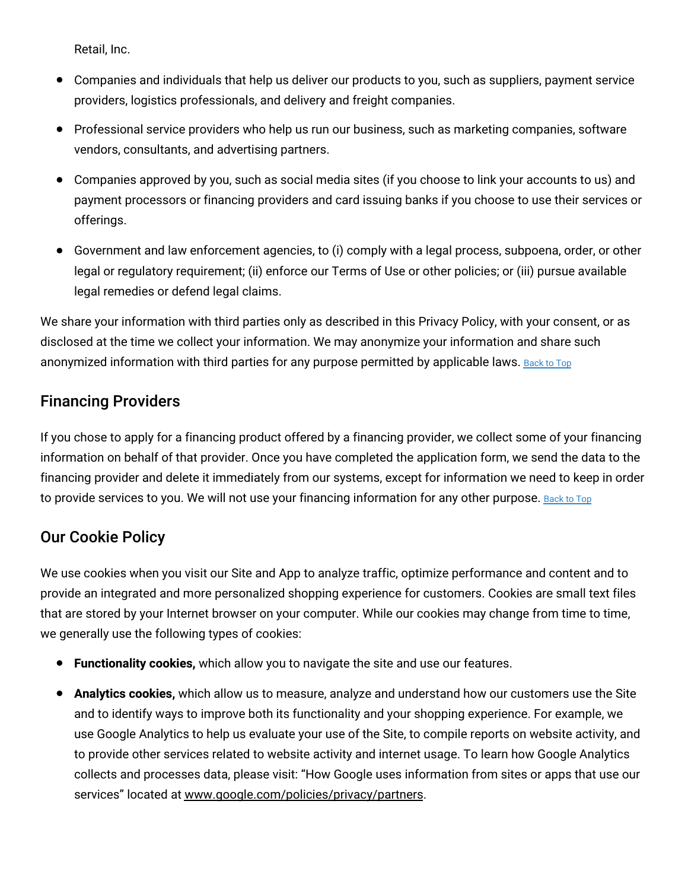Retail, Inc.

- Companies and individuals that help us deliver our products to you, such as suppliers, payment service providers, logistics professionals, and delivery and freight companies.
- Professional service providers who help us run our business, such as marketing companies, software vendors, consultants, and advertising partners.
- Companies approved by you, such as social media sites (if you choose to link your accounts to us) and payment processors or financing providers and card issuing banks if you choose to use their services or offerings.
- Government and law enforcement agencies, to (i) comply with a legal process, subpoena, order, or other legal or regulatory requirement; (ii) enforce our Terms of Use or other policies; or (iii) pursue available legal remedies or defend legal claims.

We share your information with third parties only as described in this Privacy Policy, with your consent, or as disclosed at the time we collect your information. We may anonymize your information and share such anonymized information with third parties for any purpose permitted by applicable laws. [Back](#top) to Top

# Financing Providers

If you chose to apply for a financing product offered by a financing provider, we collect some of your financing information on behalf of that provider. Once you have completed the application form, we send the data to the financing provider and delete it immediately from our systems, except for information we need to keep in order to provide services to you. We will not use your financing information for any other purpose. [Back](#top) to Top

# Our Cookie Policy

We use cookies when you visit our Site and App to analyze traffic, optimize performance and content and to provide an integrated and more personalized shopping experience for customers. Cookies are small text files that are stored by your Internet browser on your computer. While our cookies may change from time to time, we generally use the following types of cookies:

- **Functionality cookies,** which allow you to navigate the site and use our features.
- **Analytics cookies,** which allow us to measure, analyze and understand how our customers use the Site and to identify ways to improve both its functionality and your shopping experience. For example, we use Google Analytics to help us evaluate your use of the Site, to compile reports on website activity, and to provide other services related to website activity and internet usage. To learn how Google Analytics collects and processes data, please visit: "How Google uses information from sites or apps that use our services" located at [www.google.com/policies/privacy/partners](http://www.google.com/policies/privacy/partners).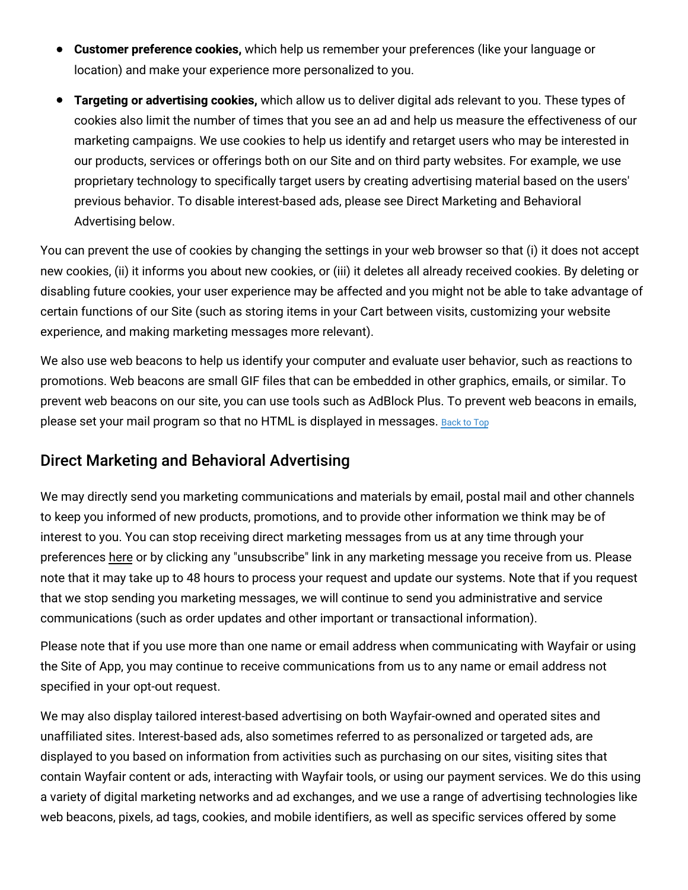- **Customer preference cookies,** which help us remember your preferences (like your language or location) and make your experience more personalized to you.
- **Targeting or advertising cookies,** which allow us to deliver digital ads relevant to you. These types of cookies also limit the number of times that you see an ad and help us measure the effectiveness of our marketing campaigns. We use cookies to help us identify and retarget users who may be interested in our products, services or offerings both on our Site and on third party websites. For example, we use proprietary technology to specifically target users by creating advertising material based on the users' previous behavior. To disable interest-based ads, please see Direct Marketing and Behavioral Advertising below.

You can prevent the use of cookies by changing the settings in your web browser so that (i) it does not accept new cookies, (ii) it informs you about new cookies, or (iii) it deletes all already received cookies. By deleting or disabling future cookies, your user experience may be affected and you might not be able to take advantage of certain functions of our Site (such as storing items in your Cart between visits, customizing your website experience, and making marketing messages more relevant).

We also use web beacons to help us identify your computer and evaluate user behavior, such as reactions to promotions. Web beacons are small GIF files that can be embedded in other graphics, emails, or similar. To prevent web beacons on our site, you can use tools such as AdBlock Plus. To prevent web beacons in emails, please set your mail program so that no HTML is displayed in messages. [Back](#top) to Top

# Direct Marketing and Behavioral Advertising

We may directly send you marketing communications and materials by email, postal mail and other channels to keep you informed of new products, promotions, and to provide other information we think may be of interest to you. You can stop receiving direct marketing messages from us at any time through your preferences [here](https://www.wayfair.com/v/account/email_subscriptions/manage) or by clicking any "unsubscribe" link in any marketing message you receive from us. Please note that it may take up to 48 hours to process your request and update our systems. Note that if you request that we stop sending you marketing messages, we will continue to send you administrative and service communications (such as order updates and other important or transactional information).

Please note that if you use more than one name or email address when communicating with Wayfair or using the Site of App, you may continue to receive communications from us to any name or email address not specified in your opt-out request.

We may also display tailored interest-based advertising on both Wayfair-owned and operated sites and unaffiliated sites. Interest-based ads, also sometimes referred to as personalized or targeted ads, are displayed to you based on information from activities such as purchasing on our sites, visiting sites that contain Wayfair content or ads, interacting with Wayfair tools, or using our payment services. We do this using a variety of digital marketing networks and ad exchanges, and we use a range of advertising technologies like web beacons, pixels, ad tags, cookies, and mobile identifiers, as well as specific services offered by some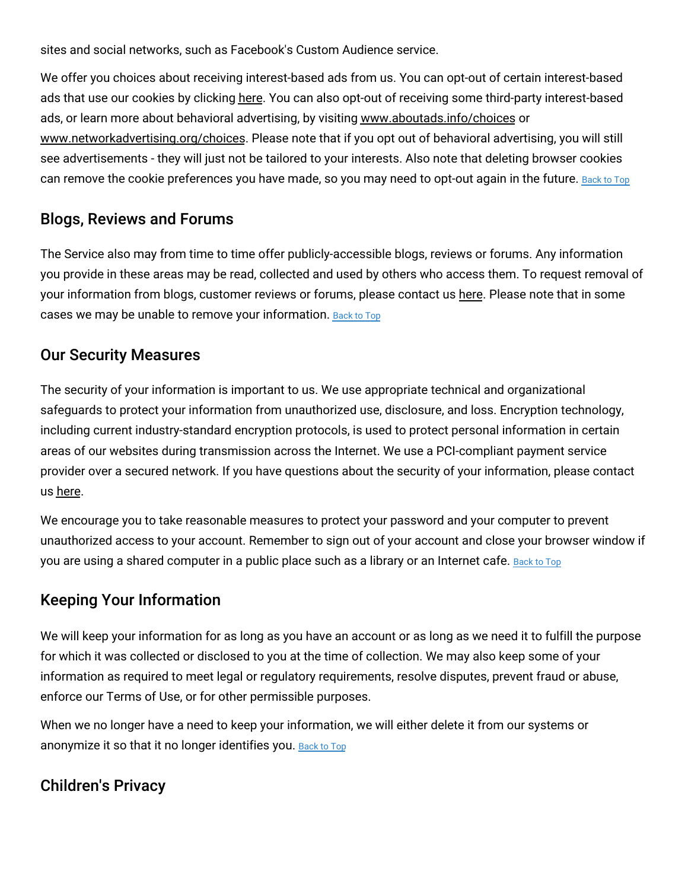sites and social networks, such as Facebook's Custom Audience service.

We offer you choices about receiving interest-based ads from us. You can opt-out of certain interest-based ads that use our cookies by clicking [here.](https://terms.wayfair.io/en-US#wfus-interestbasedads) You can also opt-out of receiving some third-party interest-based ads, or learn more about behavioral advertising, by visiting [www.aboutads.info/choices](http://www.aboutads.info/choices) or [www.networkadvertising.org/choices.](http://www.networkadvertising.org/choices) Please note that if you opt out of behavioral advertising, you will still see advertisements - they will just not be tailored to your interests. Also note that deleting browser cookies can remove the cookie preferences you have made, so you may need to opt-out again in the future. [Back](#top) to Top

# Blogs, Reviews and Forums

The Service also may from time to time offer publicly-accessible blogs, reviews or forums. Any information you provide in these areas may be read, collected and used by others who access them. To request removal of your information from blogs, customer reviews or forums, please contact us [here.](https://www.wayfair.com/privacy_rights_request) Please note that in some cases we may be unable to remove your information. **[Back](#top) to Top** 

# Our Security Measures

The security of your information is important to us. We use appropriate technical and organizational safeguards to protect your information from unauthorized use, disclosure, and loss. Encryption technology, including current industry-standard encryption protocols, is used to protect personal information in certain areas of our websites during transmission across the Internet. We use a PCI-compliant payment service provider over a secured network. If you have questions about the security of your information, please contact us [here.](https://www.wayfair.com/contact_us)

We encourage you to take reasonable measures to protect your password and your computer to prevent unauthorized access to your account. Remember to sign out of your account and close your browser window if you are using a shared computer in a public place such as a library or an Internet cafe. [Back](#top) to Top

# Keeping Your Information

We will keep your information for as long as you have an account or as long as we need it to fulfill the purpose for which it was collected or disclosed to you at the time of collection. We may also keep some of your information as required to meet legal or regulatory requirements, resolve disputes, prevent fraud or abuse, enforce our Terms of Use, or for other permissible purposes.

When we no longer have a need to keep your information, we will either delete it from our systems or anonymize it so that it no longer identifies you. [Back](#top) to Top

# Children's Privacy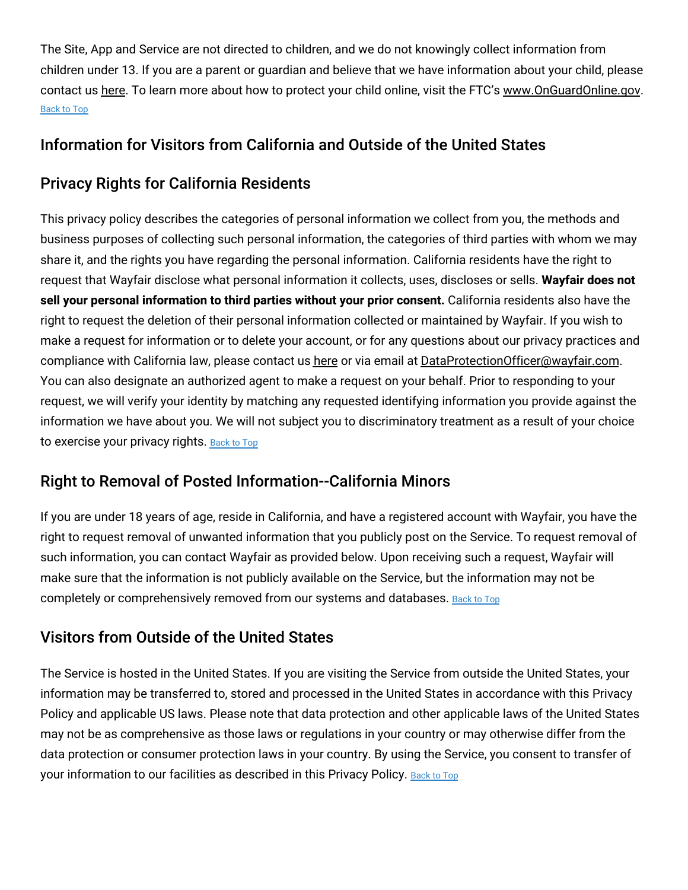The Site, App and Service are not directed to children, and we do not knowingly collect information from children under 13. If you are a parent or guardian and believe that we have information about your child, please contact us [here.](https://www.wayfair.com/privacy_rights_request) To learn more about how to protect your child online, visit the FTC's [www.OnGuardOnline.gov.](http://www.onguardonline.gov/) [Back](#top) to Top

# Information for Visitors from California and Outside of the United States

# Privacy Rights for California Residents

This privacy policy describes the categories of personal information we collect from you, the methods and business purposes of collecting such personal information, the categories of third parties with whom we may share it, and the rights you have regarding the personal information. California residents have the right to request that Wayfair disclose what personal information it collects, uses, discloses or sells. **Wayfair does not sell your personal information to third parties without your prior consent.** California residents also have the right to request the deletion of their personal information collected or maintained by Wayfair. If you wish to make a request for information or to delete your account, or for any questions about our privacy practices and compliance with California law, please contact us [here](https://www.wayfair.com/privacy_rights_request) or via email at [DataProtectionOfficer@wayfair.com.](mailto:DataProtectionOfficer@wayfair.com) You can also designate an authorized agent to make a request on your behalf. Prior to responding to your request, we will verify your identity by matching any requested identifying information you provide against the information we have about you. We will not subject you to discriminatory treatment as a result of your choice to exercise your privacy rights. [Back](#top) to Top

# Right to Removal of Posted Information--California Minors

If you are under 18 years of age, reside in California, and have a registered account with Wayfair, you have the right to request removal of unwanted information that you publicly post on the Service. To request removal of such information, you can contact Wayfair as provided below. Upon receiving such a request, Wayfair will make sure that the information is not publicly available on the Service, but the information may not be completely or comprehensively removed from our systems and databases. [Back](#top) to Top

# Visitors from Outside of the United States

The Service is hosted in the United States. If you are visiting the Service from outside the United States, your information may be transferred to, stored and processed in the United States in accordance with this Privacy Policy and applicable US laws. Please note that data protection and other applicable laws of the United States may not be as comprehensive as those laws or regulations in your country or may otherwise differ from the data protection or consumer protection laws in your country. By using the Service, you consent to transfer of your information to our facilities as described in this Privacy Policy. [Back](#top) to Top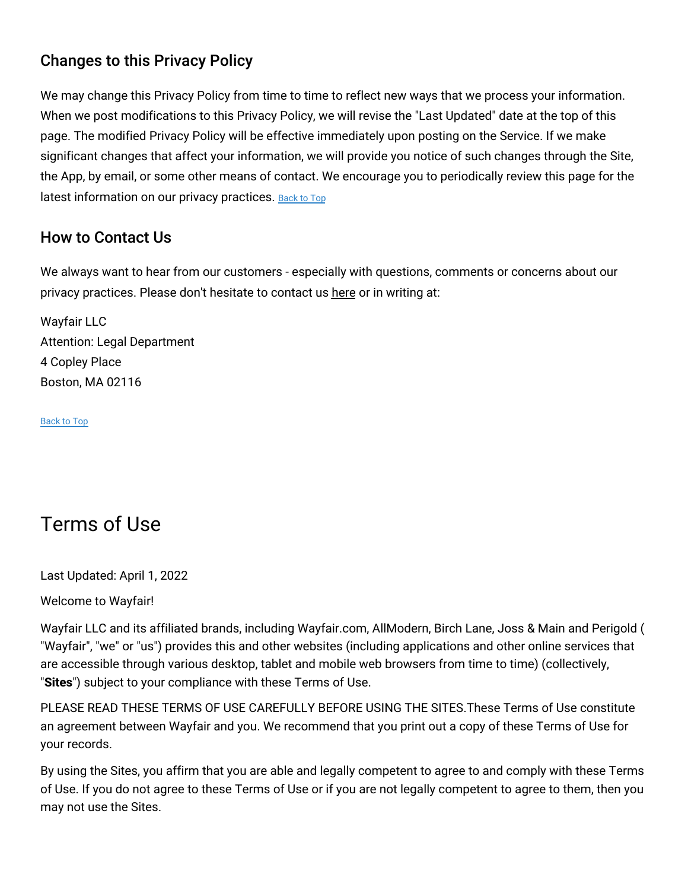# Changes to this Privacy Policy

We may change this Privacy Policy from time to time to reflect new ways that we process your information. When we post modifications to this Privacy Policy, we will revise the "Last Updated" date at the top of this page. The modified Privacy Policy will be effective immediately upon posting on the Service. If we make significant changes that affect your information, we will provide you notice of such changes through the Site, the App, by email, or some other means of contact. We encourage you to periodically review this page for the latest information on our privacy practices. [Back](#top) to Top

# How to Contact Us

We always want to hear from our customers - especially with questions, comments or concerns about our privacy practices. Please don't hesitate to contact us [here](https://www.wayfair.com/contact_us) or in writing at:

Wayfair LLC Attention: Legal Department 4 Copley Place Boston, MA 02116

[Back](#top) to Top

# Terms of Use

Last Updated: April 1, 2022

Welcome to Wayfair!

Wayfair LLC and its affiliated brands, including Wayfair.com, AllModern, Birch Lane, Joss & Main and Perigold ( "Wayfair", "we" or "us") provides this and other websites (including applications and other online services that are accessible through various desktop, tablet and mobile web browsers from time to time) (collectively, "**Sites**") subject to your compliance with these Terms of Use.

PLEASE READ THESE TERMS OF USE CAREFULLY BEFORE USING THE SITES.These Terms of Use constitute an agreement between Wayfair and you. We recommend that you print out a copy of these Terms of Use for your records.

By using the Sites, you affirm that you are able and legally competent to agree to and comply with these Terms of Use. If you do not agree to these Terms of Use or if you are not legally competent to agree to them, then you may not use the Sites.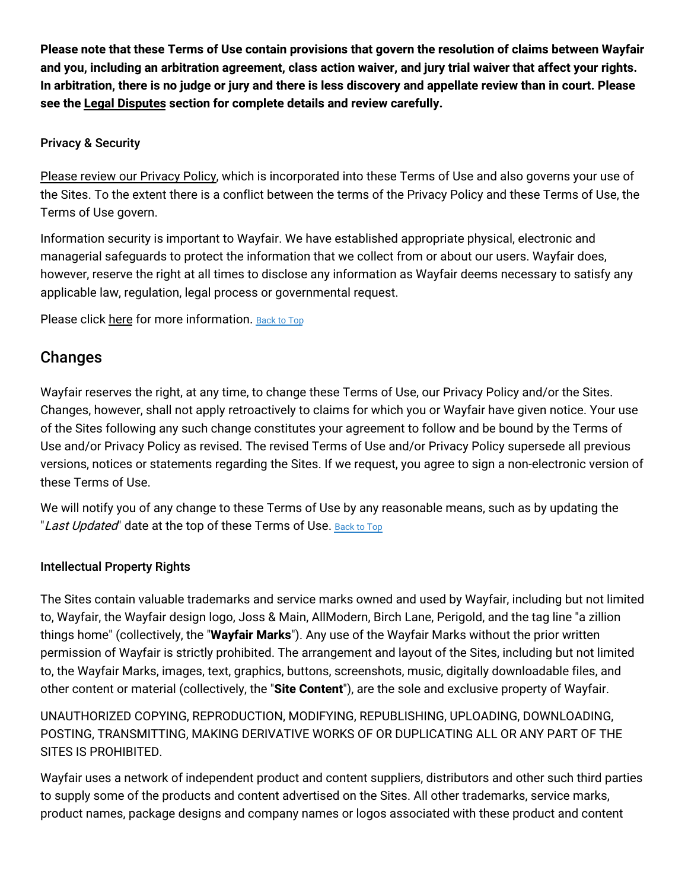Please note that these Terms of Use contain provisions that govern the resolution of claims between Wayfair and you, including an arbitration agreement, class action waiver, and jury trial waiver that affect your rights. In arbitration, there is no judge or jury and there is less discovery and appellate review than in court. Please **see the Legal [Disputes](#disputes) section for complete details and review carefully.**

## Privacy & Security

Please review our [Privacy](#privacy) Policy, which is incorporated into these Terms of Use and also governs your use of the Sites. To the extent there is a conflict between the terms of the Privacy Policy and these Terms of Use, the Terms of Use govern.

Information security is important to Wayfair. We have established appropriate physical, electronic and managerial safeguards to protect the information that we collect from or about our users. Wayfair does, however, reserve the right at all times to disclose any information as Wayfair deems necessary to satisfy any applicable law, regulation, legal process or governmental request.

Please click [here](#security) for more information. [Back](#top) to Top

# Changes

Wayfair reserves the right, at any time, to change these Terms of Use, our Privacy Policy and/or the Sites. Changes, however, shall not apply retroactively to claims for which you or Wayfair have given notice. Your use of the Sites following any such change constitutes your agreement to follow and be bound by the Terms of Use and/or Privacy Policy as revised. The revised Terms of Use and/or Privacy Policy supersede all previous versions, notices or statements regarding the Sites. If we request, you agree to sign a non-electronic version of these Terms of Use.

We will notify you of any change to these Terms of Use by any reasonable means, such as by updating the "Last Updated" date at the top of these Terms of Use. [Back](#top) to Top

# Intellectual Property Rights

The Sites contain valuable trademarks and service marks owned and used by Wayfair, including but not limited to, Wayfair, the Wayfair design logo, Joss & Main, AllModern, Birch Lane, Perigold, and the tag line "a zillion things home" (collectively, the "**Wayfair Marks**"). Any use of the Wayfair Marks without the prior written permission of Wayfair is strictly prohibited. The arrangement and layout of the Sites, including but not limited to, the Wayfair Marks, images, text, graphics, buttons, screenshots, music, digitally downloadable files, and other content or material (collectively, the "**Site Content**"), are the sole and exclusive property of Wayfair.

UNAUTHORIZED COPYING, REPRODUCTION, MODIFYING, REPUBLISHING, UPLOADING, DOWNLOADING, POSTING, TRANSMITTING, MAKING DERIVATIVE WORKS OF OR DUPLICATING ALL OR ANY PART OF THE SITES IS PROHIBITED.

Wayfair uses a network of independent product and content suppliers, distributors and other such third parties to supply some of the products and content advertised on the Sites. All other trademarks, service marks, product names, package designs and company names or logos associated with these product and content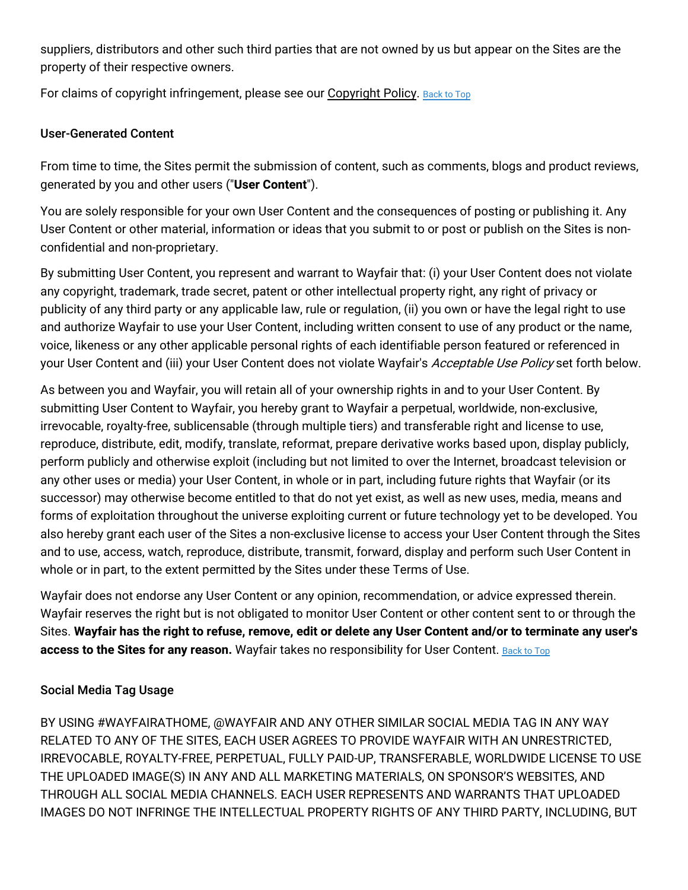suppliers, distributors and other such third parties that are not owned by us but appear on the Sites are the property of their respective owners.

For claims of copyright infringement, please see our [Copyright](#copyright) Policy. [Back](#top) to Top

## User-Generated Content

From time to time, the Sites permit the submission of content, such as comments, blogs and product reviews, generated by you and other users ("**User Content**").

You are solely responsible for your own User Content and the consequences of posting or publishing it. Any User Content or other material, information or ideas that you submit to or post or publish on the Sites is nonconfidential and non-proprietary.

By submitting User Content, you represent and warrant to Wayfair that: (i) your User Content does not violate any copyright, trademark, trade secret, patent or other intellectual property right, any right of privacy or publicity of any third party or any applicable law, rule or regulation, (ii) you own or have the legal right to use and authorize Wayfair to use your User Content, including written consent to use of any product or the name, voice, likeness or any other applicable personal rights of each identifiable person featured or referenced in your User Content and (iii) your User Content does not violate Wayfair's Acceptable Use Policy set forth below.

As between you and Wayfair, you will retain all of your ownership rights in and to your User Content. By submitting User Content to Wayfair, you hereby grant to Wayfair a perpetual, worldwide, non-exclusive, irrevocable, royalty-free, sublicensable (through multiple tiers) and transferable right and license to use, reproduce, distribute, edit, modify, translate, reformat, prepare derivative works based upon, display publicly, perform publicly and otherwise exploit (including but not limited to over the Internet, broadcast television or any other uses or media) your User Content, in whole or in part, including future rights that Wayfair (or its successor) may otherwise become entitled to that do not yet exist, as well as new uses, media, means and forms of exploitation throughout the universe exploiting current or future technology yet to be developed. You also hereby grant each user of the Sites a non-exclusive license to access your User Content through the Sites and to use, access, watch, reproduce, distribute, transmit, forward, display and perform such User Content in whole or in part, to the extent permitted by the Sites under these Terms of Use.

Wayfair does not endorse any User Content or any opinion, recommendation, or advice expressed therein. Wayfair reserves the right but is not obligated to monitor User Content or other content sent to or through the Sites. Wayfair has the right to refuse, remove, edit or delete any User Content and/or to terminate any user's **access to the Sites for any reason.** Wayfair takes no responsibility for User Content. [Back](#top) to Top

# Social Media Tag Usage

BY USING #WAYFAIRATHOME, @WAYFAIR AND ANY OTHER SIMILAR SOCIAL MEDIA TAG IN ANY WAY RELATED TO ANY OF THE SITES, EACH USER AGREES TO PROVIDE WAYFAIR WITH AN UNRESTRICTED, IRREVOCABLE, ROYALTY-FREE, PERPETUAL, FULLY PAID-UP, TRANSFERABLE, WORLDWIDE LICENSE TO USE THE UPLOADED IMAGE(S) IN ANY AND ALL MARKETING MATERIALS, ON SPONSOR'S WEBSITES, AND THROUGH ALL SOCIAL MEDIA CHANNELS. EACH USER REPRESENTS AND WARRANTS THAT UPLOADED IMAGES DO NOT INFRINGE THE INTELLECTUAL PROPERTY RIGHTS OF ANY THIRD PARTY, INCLUDING, BUT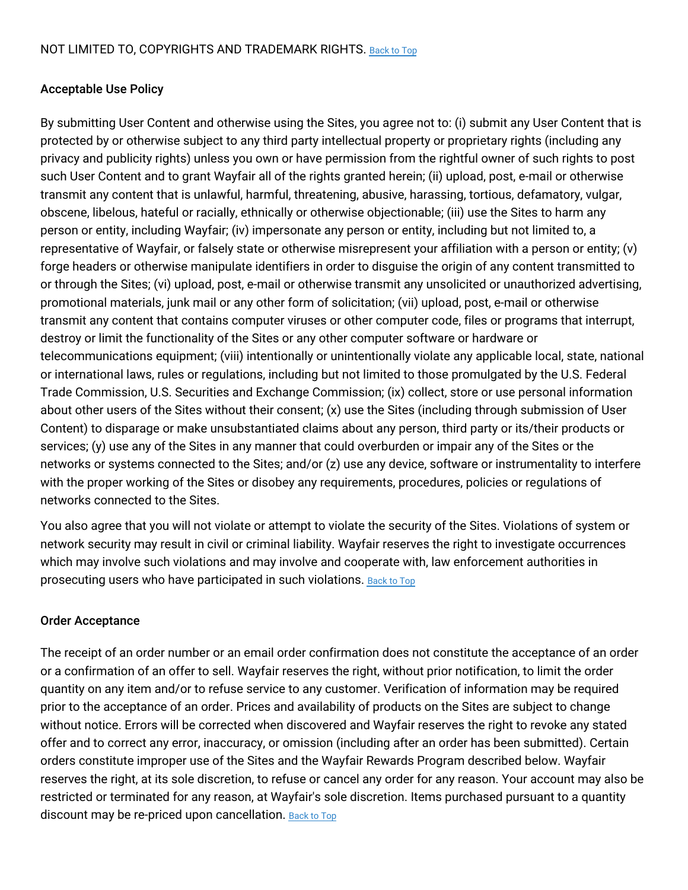## Acceptable Use Policy

By submitting User Content and otherwise using the Sites, you agree not to: (i) submit any User Content that is protected by or otherwise subject to any third party intellectual property or proprietary rights (including any privacy and publicity rights) unless you own or have permission from the rightful owner of such rights to post such User Content and to grant Wayfair all of the rights granted herein; (ii) upload, post, e-mail or otherwise transmit any content that is unlawful, harmful, threatening, abusive, harassing, tortious, defamatory, vulgar, obscene, libelous, hateful or racially, ethnically or otherwise objectionable; (iii) use the Sites to harm any person or entity, including Wayfair; (iv) impersonate any person or entity, including but not limited to, a representative of Wayfair, or falsely state or otherwise misrepresent your affiliation with a person or entity; (v) forge headers or otherwise manipulate identifiers in order to disguise the origin of any content transmitted to or through the Sites; (vi) upload, post, e-mail or otherwise transmit any unsolicited or unauthorized advertising, promotional materials, junk mail or any other form of solicitation; (vii) upload, post, e-mail or otherwise transmit any content that contains computer viruses or other computer code, files or programs that interrupt, destroy or limit the functionality of the Sites or any other computer software or hardware or telecommunications equipment; (viii) intentionally or unintentionally violate any applicable local, state, national or international laws, rules or regulations, including but not limited to those promulgated by the U.S. Federal Trade Commission, U.S. Securities and Exchange Commission; (ix) collect, store or use personal information about other users of the Sites without their consent; (x) use the Sites (including through submission of User Content) to disparage or make unsubstantiated claims about any person, third party or its/their products or services; (y) use any of the Sites in any manner that could overburden or impair any of the Sites or the networks or systems connected to the Sites; and/or (z) use any device, software or instrumentality to interfere with the proper working of the Sites or disobey any requirements, procedures, policies or regulations of networks connected to the Sites.

You also agree that you will not violate or attempt to violate the security of the Sites. Violations of system or network security may result in civil or criminal liability. Wayfair reserves the right to investigate occurrences which may involve such violations and may involve and cooperate with, law enforcement authorities in prosecuting users who have participated in such violations. [Back](#top) to Top

## Order Acceptance

The receipt of an order number or an email order confirmation does not constitute the acceptance of an order or a confirmation of an offer to sell. Wayfair reserves the right, without prior notification, to limit the order quantity on any item and/or to refuse service to any customer. Verification of information may be required prior to the acceptance of an order. Prices and availability of products on the Sites are subject to change without notice. Errors will be corrected when discovered and Wayfair reserves the right to revoke any stated offer and to correct any error, inaccuracy, or omission (including after an order has been submitted). Certain orders constitute improper use of the Sites and the Wayfair Rewards Program described below. Wayfair reserves the right, at its sole discretion, to refuse or cancel any order for any reason. Your account may also be restricted or terminated for any reason, at Wayfair's sole discretion. Items purchased pursuant to a quantity discount may be re-priced upon cancellation. [Back](#top) to Top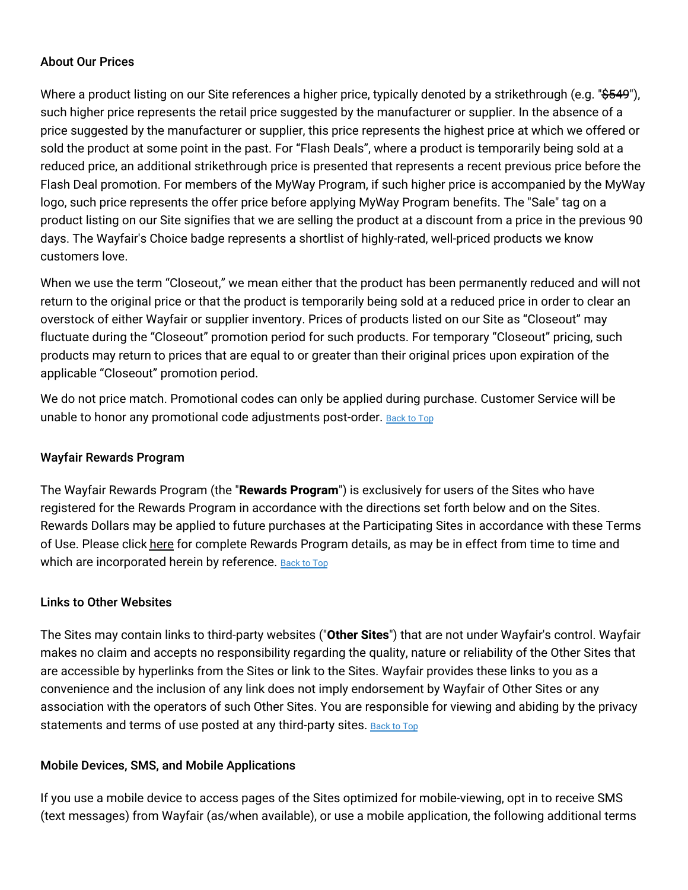## About Our Prices

Where a product listing on our Site references a higher price, typically denoted by a strikethrough (e.g. "\$549"), such higher price represents the retail price suggested by the manufacturer or supplier. In the absence of a price suggested by the manufacturer or supplier, this price represents the highest price at which we offered or sold the product at some point in the past. For "Flash Deals", where a product is temporarily being sold at a reduced price, an additional strikethrough price is presented that represents a recent previous price before the Flash Deal promotion. For members of the MyWay Program, if such higher price is accompanied by the MyWay logo, such price represents the offer price before applying MyWay Program benefits. The "Sale" tag on a product listing on our Site signifies that we are selling the product at a discount from a price in the previous 90 days. The Wayfair's Choice badge represents a shortlist of highly-rated, well-priced products we know customers love.

When we use the term "Closeout," we mean either that the product has been permanently reduced and will not return to the original price or that the product is temporarily being sold at a reduced price in order to clear an overstock of either Wayfair or supplier inventory. Prices of products listed on our Site as "Closeout" may fluctuate during the "Closeout" promotion period for such products. For temporary "Closeout" pricing, such products may return to prices that are equal to or greater than their original prices upon expiration of the applicable "Closeout" promotion period.

We do not price match. Promotional codes can only be applied during purchase. Customer Service will be unable to honor any promotional code adjustments post-order. [Back](#top) to Top

## Wayfair Rewards Program

The Wayfair Rewards Program (the "**Rewards Program**") is exclusively for users of the Sites who have registered for the Rewards Program in accordance with the directions set forth below and on the Sites. Rewards Dollars may be applied to future purchases at the Participating Sites in accordance with these Terms of Use. Please click [here](#rewards) for complete Rewards Program details, as may be in effect from time to time and which are incorporated herein by reference. [Back](#top) to Top

## Links to Other Websites

The Sites may contain links to third-party websites ("**Other Sites**") that are not under Wayfair's control. Wayfair makes no claim and accepts no responsibility regarding the quality, nature or reliability of the Other Sites that are accessible by hyperlinks from the Sites or link to the Sites. Wayfair provides these links to you as a convenience and the inclusion of any link does not imply endorsement by Wayfair of Other Sites or any association with the operators of such Other Sites. You are responsible for viewing and abiding by the privacy statements and terms of use posted at any third-party sites. [Back](#top) to Top

## Mobile Devices, SMS, and Mobile Applications

If you use a mobile device to access pages of the Sites optimized for mobile-viewing, opt in to receive SMS (text messages) from Wayfair (as/when available), or use a mobile application, the following additional terms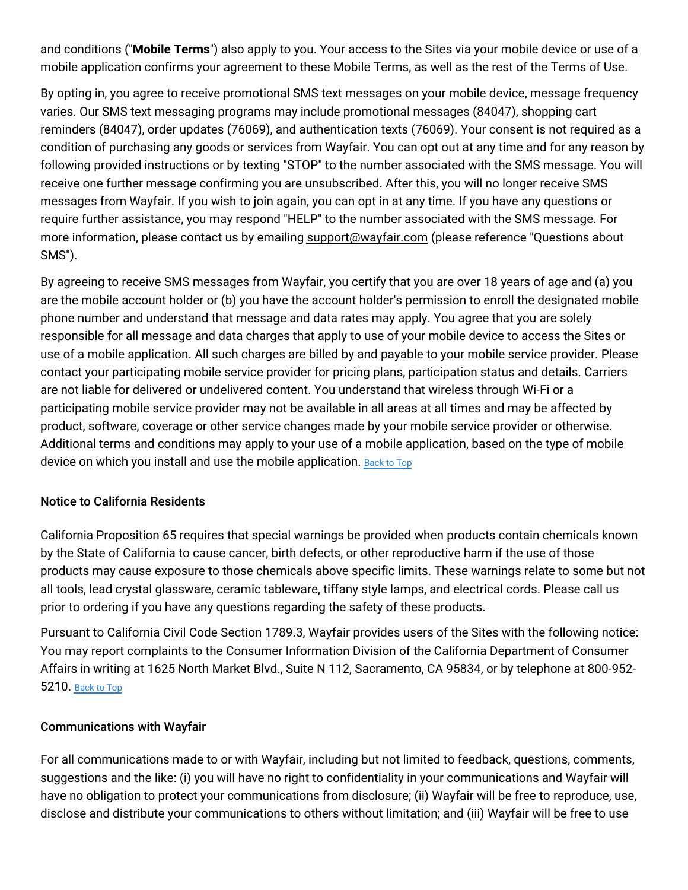and conditions ("**Mobile Terms**") also apply to you. Your access to the Sites via your mobile device or use of a mobile application confirms your agreement to these Mobile Terms, as well as the rest of the Terms of Use.

By opting in, you agree to receive promotional SMS text messages on your mobile device, message frequency varies. Our SMS text messaging programs may include promotional messages (84047), shopping cart reminders (84047), order updates (76069), and authentication texts (76069). Your consent is not required as a condition of purchasing any goods or services from Wayfair. You can opt out at any time and for any reason by following provided instructions or by texting "STOP" to the number associated with the SMS message. You will receive one further message confirming you are unsubscribed. After this, you will no longer receive SMS messages from Wayfair. If you wish to join again, you can opt in at any time. If you have any questions or require further assistance, you may respond "HELP" to the number associated with the SMS message. For more information, please contact us by emailing [support@wayfair.com](mailto:support@wayfair.com) (please reference "Questions about SMS").

By agreeing to receive SMS messages from Wayfair, you certify that you are over 18 years of age and (a) you are the mobile account holder or (b) you have the account holder's permission to enroll the designated mobile phone number and understand that message and data rates may apply. You agree that you are solely responsible for all message and data charges that apply to use of your mobile device to access the Sites or use of a mobile application. All such charges are billed by and payable to your mobile service provider. Please contact your participating mobile service provider for pricing plans, participation status and details. Carriers are not liable for delivered or undelivered content. You understand that wireless through Wi-Fi or a participating mobile service provider may not be available in all areas at all times and may be affected by product, software, coverage or other service changes made by your mobile service provider or otherwise. Additional terms and conditions may apply to your use of a mobile application, based on the type of mobile device on which you install and use the mobile application. [Back](#top) to Top

## Notice to California Residents

California Proposition 65 requires that special warnings be provided when products contain chemicals known by the State of California to cause cancer, birth defects, or other reproductive harm if the use of those products may cause exposure to those chemicals above specific limits. These warnings relate to some but not all tools, lead crystal glassware, ceramic tableware, tiffany style lamps, and electrical cords. Please call us prior to ordering if you have any questions regarding the safety of these products.

Pursuant to California Civil Code Section 1789.3, Wayfair provides users of the Sites with the following notice: You may report complaints to the Consumer Information Division of the California Department of Consumer Affairs in writing at 1625 North Market Blvd., Suite N 112, Sacramento, CA 95834, or by telephone at 800-952- 5210. [Back](#top) to Top

## Communications with Wayfair

For all communications made to or with Wayfair, including but not limited to feedback, questions, comments, suggestions and the like: (i) you will have no right to confidentiality in your communications and Wayfair will have no obligation to protect your communications from disclosure; (ii) Wayfair will be free to reproduce, use, disclose and distribute your communications to others without limitation; and (iii) Wayfair will be free to use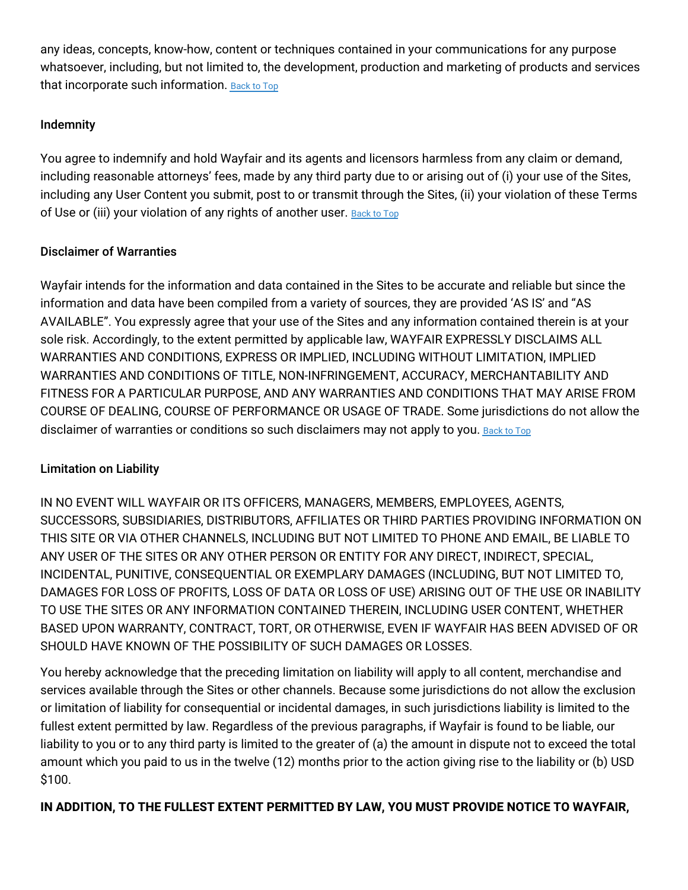any ideas, concepts, know-how, content or techniques contained in your communications for any purpose whatsoever, including, but not limited to, the development, production and marketing of products and services that incorporate such information. [Back](#top) to Top

## Indemnity

You agree to indemnify and hold Wayfair and its agents and licensors harmless from any claim or demand, including reasonable attorneys' fees, made by any third party due to or arising out of (i) your use of the Sites, including any User Content you submit, post to or transmit through the Sites, (ii) your violation of these Terms of Use or (iii) your violation of any rights of another user. [Back](#top) to Top

# Disclaimer of Warranties

Wayfair intends for the information and data contained in the Sites to be accurate and reliable but since the information and data have been compiled from a variety of sources, they are provided 'AS IS' and "AS AVAILABLE". You expressly agree that your use of the Sites and any information contained therein is at your sole risk. Accordingly, to the extent permitted by applicable law, WAYFAIR EXPRESSLY DISCLAIMS ALL WARRANTIES AND CONDITIONS, EXPRESS OR IMPLIED, INCLUDING WITHOUT LIMITATION, IMPLIED WARRANTIES AND CONDITIONS OF TITLE, NON-INFRINGEMENT, ACCURACY, MERCHANTABILITY AND FITNESS FOR A PARTICULAR PURPOSE, AND ANY WARRANTIES AND CONDITIONS THAT MAY ARISE FROM COURSE OF DEALING, COURSE OF PERFORMANCE OR USAGE OF TRADE. Some jurisdictions do not allow the disclaimer of warranties or conditions so such disclaimers may not apply to you. [Back](#top) to Top

# Limitation on Liability

IN NO EVENT WILL WAYFAIR OR ITS OFFICERS, MANAGERS, MEMBERS, EMPLOYEES, AGENTS, SUCCESSORS, SUBSIDIARIES, DISTRIBUTORS, AFFILIATES OR THIRD PARTIES PROVIDING INFORMATION ON THIS SITE OR VIA OTHER CHANNELS, INCLUDING BUT NOT LIMITED TO PHONE AND EMAIL, BE LIABLE TO ANY USER OF THE SITES OR ANY OTHER PERSON OR ENTITY FOR ANY DIRECT, INDIRECT, SPECIAL, INCIDENTAL, PUNITIVE, CONSEQUENTIAL OR EXEMPLARY DAMAGES (INCLUDING, BUT NOT LIMITED TO, DAMAGES FOR LOSS OF PROFITS, LOSS OF DATA OR LOSS OF USE) ARISING OUT OF THE USE OR INABILITY TO USE THE SITES OR ANY INFORMATION CONTAINED THEREIN, INCLUDING USER CONTENT, WHETHER BASED UPON WARRANTY, CONTRACT, TORT, OR OTHERWISE, EVEN IF WAYFAIR HAS BEEN ADVISED OF OR SHOULD HAVE KNOWN OF THE POSSIBILITY OF SUCH DAMAGES OR LOSSES.

You hereby acknowledge that the preceding limitation on liability will apply to all content, merchandise and services available through the Sites or other channels. Because some jurisdictions do not allow the exclusion or limitation of liability for consequential or incidental damages, in such jurisdictions liability is limited to the fullest extent permitted by law. Regardless of the previous paragraphs, if Wayfair is found to be liable, our liability to you or to any third party is limited to the greater of (a) the amount in dispute not to exceed the total amount which you paid to us in the twelve (12) months prior to the action giving rise to the liability or (b) USD \$100.

# **IN ADDITION, TO THE FULLEST EXTENT PERMITTED BY LAW, YOU MUST PROVIDE NOTICE TO WAYFAIR,**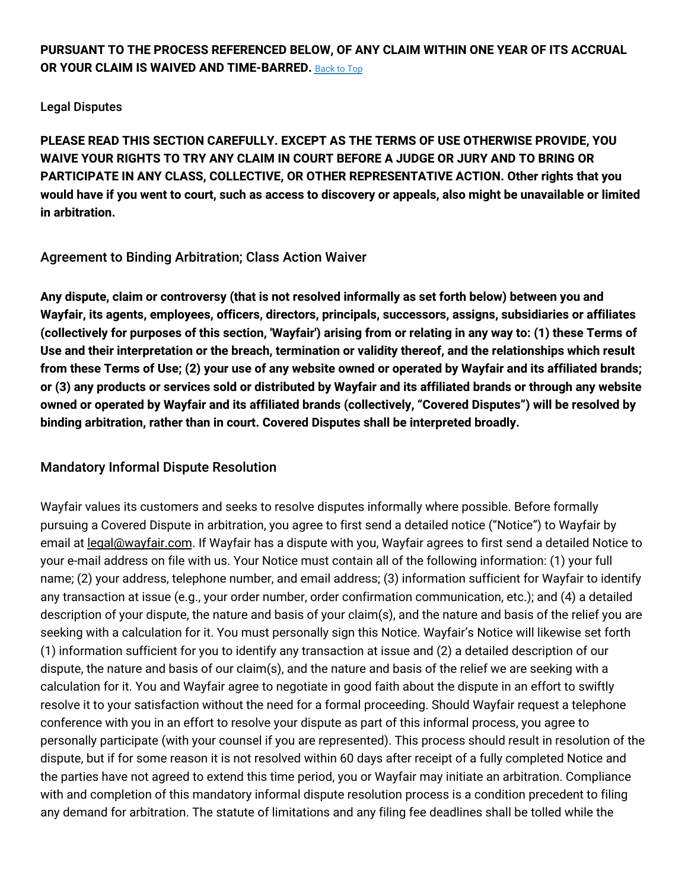# **PURSUANT TO THE PROCESS REFERENCED BELOW, OF ANY CLAIM WITHIN ONE YEAR OF ITS ACCRUAL OR YOUR CLAIM IS WAIVED AND TIME-BARRED.** [Back](#top) to Top

#### Legal Disputes

**PLEASE READ THIS SECTION CAREFULLY. EXCEPT AS THE TERMS OF USE OTHERWISE PROVIDE, YOU WAIVE YOUR RIGHTS TO TRY ANY CLAIM IN COURT BEFORE A JUDGE OR JURY AND TO BRING OR PARTICIPATE IN ANY CLASS, COLLECTIVE, OR OTHER REPRESENTATIVE ACTION. Other rights that you** would have if you went to court, such as access to discovery or appeals, also might be unavailable or limited **in arbitration.**

## Agreement to Binding Arbitration; Class Action Waiver

**Any dispute, claim or controversy (that is not resolved informally as set forth below) between you and Wayfair, its agents, employees, officers, directors, principals, successors, assigns, subsidiaries or affiliates** (collectively for purposes of this section, 'Wayfair') arising from or relating in any way to: (1) these Terms of **Use and their interpretation or the breach, termination or validity thereof, and the relationships which result** from these Terms of Use; (2) your use of any website owned or operated by Wayfair and its affiliated brands; or (3) any products or services sold or distributed by Wayfair and its affiliated brands or through any website **owned or operated by Wayfair and its affiliated brands (collectively, "Covered Disputes") will be resolved by binding arbitration, rather than in court. Covered Disputes shall be interpreted broadly.**

# Mandatory Informal Dispute Resolution

Wayfair values its customers and seeks to resolve disputes informally where possible. Before formally pursuing a Covered Dispute in arbitration, you agree to first send a detailed notice ("Notice") to Wayfair by email at [legal@wayfair.com.](mailto:legal@wayfair.com) If Wayfair has a dispute with you, Wayfair agrees to first send a detailed Notice to your e-mail address on file with us. Your Notice must contain all of the following information: (1) your full name; (2) your address, telephone number, and email address; (3) information sufficient for Wayfair to identify any transaction at issue (e.g., your order number, order confirmation communication, etc.); and (4) a detailed description of your dispute, the nature and basis of your claim(s), and the nature and basis of the relief you are seeking with a calculation for it. You must personally sign this Notice. Wayfair's Notice will likewise set forth (1) information sufficient for you to identify any transaction at issue and (2) a detailed description of our dispute, the nature and basis of our claim(s), and the nature and basis of the relief we are seeking with a calculation for it. You and Wayfair agree to negotiate in good faith about the dispute in an effort to swiftly resolve it to your satisfaction without the need for a formal proceeding. Should Wayfair request a telephone conference with you in an effort to resolve your dispute as part of this informal process, you agree to personally participate (with your counsel if you are represented). This process should result in resolution of the dispute, but if for some reason it is not resolved within 60 days after receipt of a fully completed Notice and the parties have not agreed to extend this time period, you or Wayfair may initiate an arbitration. Compliance with and completion of this mandatory informal dispute resolution process is a condition precedent to filing any demand for arbitration. The statute of limitations and any filing fee deadlines shall be tolled while the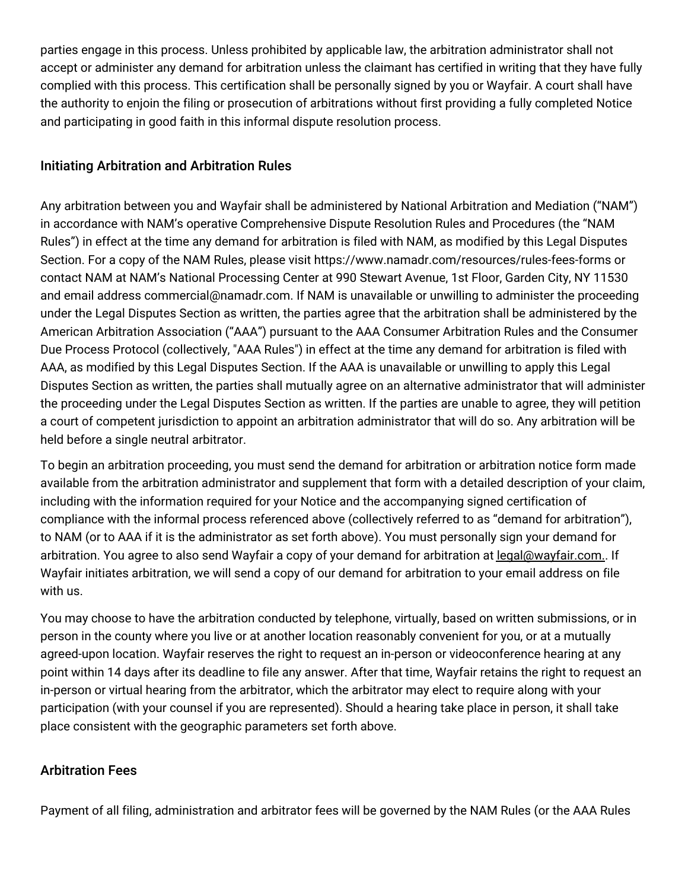parties engage in this process. Unless prohibited by applicable law, the arbitration administrator shall not accept or administer any demand for arbitration unless the claimant has certified in writing that they have fully complied with this process. This certification shall be personally signed by you or Wayfair. A court shall have the authority to enjoin the filing or prosecution of arbitrations without first providing a fully completed Notice and participating in good faith in this informal dispute resolution process.

# Initiating Arbitration and Arbitration Rules

Any arbitration between you and Wayfair shall be administered by National Arbitration and Mediation ("NAM") in accordance with NAM's operative Comprehensive Dispute Resolution Rules and Procedures (the "NAM Rules") in effect at the time any demand for arbitration is filed with NAM, as modified by this Legal Disputes Section. For a copy of the NAM Rules, please visit https://www.namadr.com/resources/rules-fees-forms or contact NAM at NAM's National Processing Center at 990 Stewart Avenue, 1st Floor, Garden City, NY 11530 and email address commercial@namadr.com. If NAM is unavailable or unwilling to administer the proceeding under the Legal Disputes Section as written, the parties agree that the arbitration shall be administered by the American Arbitration Association ("AAA") pursuant to the AAA Consumer Arbitration Rules and the Consumer Due Process Protocol (collectively, "AAA Rules") in effect at the time any demand for arbitration is filed with AAA, as modified by this Legal Disputes Section. If the AAA is unavailable or unwilling to apply this Legal Disputes Section as written, the parties shall mutually agree on an alternative administrator that will administer the proceeding under the Legal Disputes Section as written. If the parties are unable to agree, they will petition a court of competent jurisdiction to appoint an arbitration administrator that will do so. Any arbitration will be held before a single neutral arbitrator.

To begin an arbitration proceeding, you must send the demand for arbitration or arbitration notice form made available from the arbitration administrator and supplement that form with a detailed description of your claim, including with the information required for your Notice and the accompanying signed certification of compliance with the informal process referenced above (collectively referred to as "demand for arbitration"), to NAM (or to AAA if it is the administrator as set forth above). You must personally sign your demand for arbitration. You agree to also send Wayfair a copy of your demand for arbitration at [legal@wayfair.com..](mailto:legal@wayfair.com) If Wayfair initiates arbitration, we will send a copy of our demand for arbitration to your email address on file with us.

You may choose to have the arbitration conducted by telephone, virtually, based on written submissions, or in person in the county where you live or at another location reasonably convenient for you, or at a mutually agreed-upon location. Wayfair reserves the right to request an in-person or videoconference hearing at any point within 14 days after its deadline to file any answer. After that time, Wayfair retains the right to request an in-person or virtual hearing from the arbitrator, which the arbitrator may elect to require along with your participation (with your counsel if you are represented). Should a hearing take place in person, it shall take place consistent with the geographic parameters set forth above.

# Arbitration Fees

Payment of all filing, administration and arbitrator fees will be governed by the NAM Rules (or the AAA Rules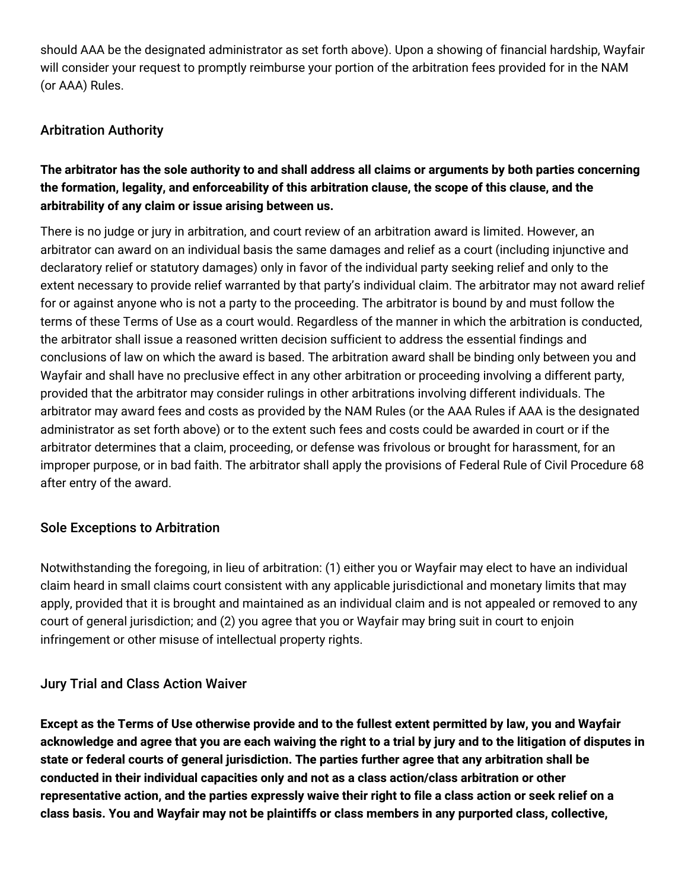should AAA be the designated administrator as set forth above). Upon a showing of financial hardship, Wayfair will consider your request to promptly reimburse your portion of the arbitration fees provided for in the NAM (or AAA) Rules.

# Arbitration Authority

# The arbitrator has the sole authority to and shall address all claims or arguments by both parties concerning **the formation, legality, and enforceability of this arbitration clause, the scope of this clause, and the arbitrability of any claim or issue arising between us.**

There is no judge or jury in arbitration, and court review of an arbitration award is limited. However, an arbitrator can award on an individual basis the same damages and relief as a court (including injunctive and declaratory relief or statutory damages) only in favor of the individual party seeking relief and only to the extent necessary to provide relief warranted by that party's individual claim. The arbitrator may not award relief for or against anyone who is not a party to the proceeding. The arbitrator is bound by and must follow the terms of these Terms of Use as a court would. Regardless of the manner in which the arbitration is conducted, the arbitrator shall issue a reasoned written decision sufficient to address the essential findings and conclusions of law on which the award is based. The arbitration award shall be binding only between you and Wayfair and shall have no preclusive effect in any other arbitration or proceeding involving a different party, provided that the arbitrator may consider rulings in other arbitrations involving different individuals. The arbitrator may award fees and costs as provided by the NAM Rules (or the AAA Rules if AAA is the designated administrator as set forth above) or to the extent such fees and costs could be awarded in court or if the arbitrator determines that a claim, proceeding, or defense was frivolous or brought for harassment, for an improper purpose, or in bad faith. The arbitrator shall apply the provisions of Federal Rule of Civil Procedure 68 after entry of the award.

# Sole Exceptions to Arbitration

Notwithstanding the foregoing, in lieu of arbitration: (1) either you or Wayfair may elect to have an individual claim heard in small claims court consistent with any applicable jurisdictional and monetary limits that may apply, provided that it is brought and maintained as an individual claim and is not appealed or removed to any court of general jurisdiction; and (2) you agree that you or Wayfair may bring suit in court to enjoin infringement or other misuse of intellectual property rights.

# Jury Trial and Class Action Waiver

Except as the Terms of Use otherwise provide and to the fullest extent permitted by law, you and Wayfair acknowledge and agree that you are each waiving the right to a trial by jury and to the litigation of disputes in **state or federal courts of general jurisdiction. The parties further agree that any arbitration shall be conducted in their individual capacities only and not as a class action/class arbitration or other** representative action, and the parties expressly waive their right to file a class action or seek relief on a **class basis. You and Wayfair may not be plaintiffs or class members in any purported class, collective,**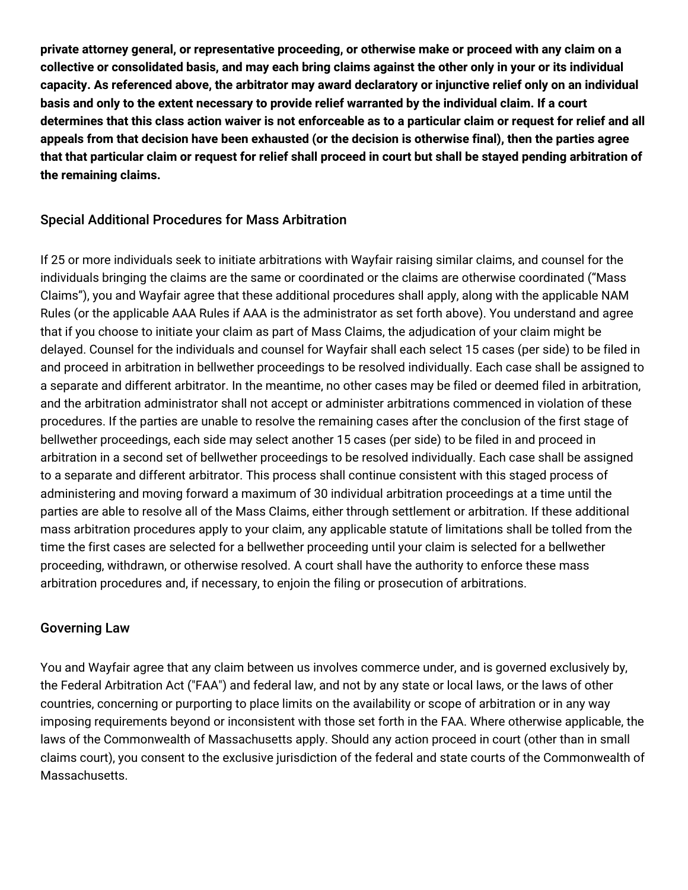**private attorney general, or representative proceeding, or otherwise make or proceed with any claim on a** collective or consolidated basis, and may each bring claims against the other only in your or its individual **capacity. As referenced above, the arbitrator may award declaratory or injunctive relief only on an individual** basis and only to the extent necessary to provide relief warranted by the individual claim. If a court determines that this class action waiver is not enforceable as to a particular claim or request for relief and all appeals from that decision have been exhausted (or the decision is otherwise final), then the parties agree that that particular claim or request for relief shall proceed in court but shall be stayed pending arbitration of **the remaining claims.**

## Special Additional Procedures for Mass Arbitration

If 25 or more individuals seek to initiate arbitrations with Wayfair raising similar claims, and counsel for the individuals bringing the claims are the same or coordinated or the claims are otherwise coordinated ("Mass Claims"), you and Wayfair agree that these additional procedures shall apply, along with the applicable NAM Rules (or the applicable AAA Rules if AAA is the administrator as set forth above). You understand and agree that if you choose to initiate your claim as part of Mass Claims, the adjudication of your claim might be delayed. Counsel for the individuals and counsel for Wayfair shall each select 15 cases (per side) to be filed in and proceed in arbitration in bellwether proceedings to be resolved individually. Each case shall be assigned to a separate and different arbitrator. In the meantime, no other cases may be filed or deemed filed in arbitration, and the arbitration administrator shall not accept or administer arbitrations commenced in violation of these procedures. If the parties are unable to resolve the remaining cases after the conclusion of the first stage of bellwether proceedings, each side may select another 15 cases (per side) to be filed in and proceed in arbitration in a second set of bellwether proceedings to be resolved individually. Each case shall be assigned to a separate and different arbitrator. This process shall continue consistent with this staged process of administering and moving forward a maximum of 30 individual arbitration proceedings at a time until the parties are able to resolve all of the Mass Claims, either through settlement or arbitration. If these additional mass arbitration procedures apply to your claim, any applicable statute of limitations shall be tolled from the time the first cases are selected for a bellwether proceeding until your claim is selected for a bellwether proceeding, withdrawn, or otherwise resolved. A court shall have the authority to enforce these mass arbitration procedures and, if necessary, to enjoin the filing or prosecution of arbitrations.

## Governing Law

You and Wayfair agree that any claim between us involves commerce under, and is governed exclusively by, the Federal Arbitration Act ("FAA") and federal law, and not by any state or local laws, or the laws of other countries, concerning or purporting to place limits on the availability or scope of arbitration or in any way imposing requirements beyond or inconsistent with those set forth in the FAA. Where otherwise applicable, the laws of the Commonwealth of Massachusetts apply. Should any action proceed in court (other than in small claims court), you consent to the exclusive jurisdiction of the federal and state courts of the Commonwealth of Massachusetts.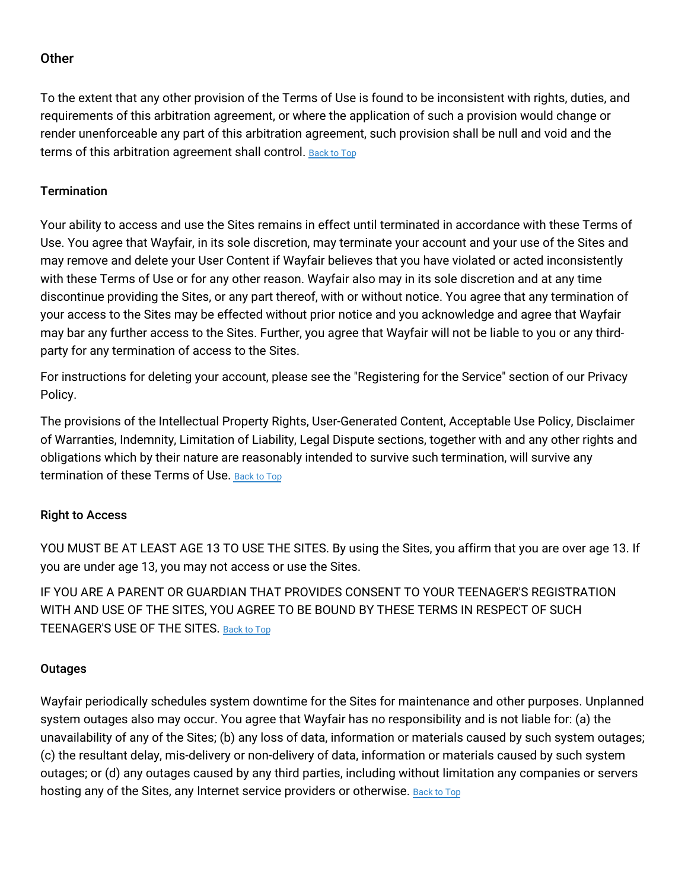## **Other**

To the extent that any other provision of the Terms of Use is found to be inconsistent with rights, duties, and requirements of this arbitration agreement, or where the application of such a provision would change or render unenforceable any part of this arbitration agreement, such provision shall be null and void and the terms of this arbitration agreement shall control. [Back](#top) to Top

#### **Termination**

Your ability to access and use the Sites remains in effect until terminated in accordance with these Terms of Use. You agree that Wayfair, in its sole discretion, may terminate your account and your use of the Sites and may remove and delete your User Content if Wayfair believes that you have violated or acted inconsistently with these Terms of Use or for any other reason. Wayfair also may in its sole discretion and at any time discontinue providing the Sites, or any part thereof, with or without notice. You agree that any termination of your access to the Sites may be effected without prior notice and you acknowledge and agree that Wayfair may bar any further access to the Sites. Further, you agree that Wayfair will not be liable to you or any thirdparty for any termination of access to the Sites.

For instructions for deleting your account, please see the "Registering for the Service" section of our Privacy Policy.

The provisions of the Intellectual Property Rights, User-Generated Content, Acceptable Use Policy, Disclaimer of Warranties, Indemnity, Limitation of Liability, Legal Dispute sections, together with and any other rights and obligations which by their nature are reasonably intended to survive such termination, will survive any termination of these Terms of Use. [Back](#top) to Top

## Right to Access

YOU MUST BE AT LEAST AGE 13 TO USE THE SITES. By using the Sites, you affirm that you are over age 13. If you are under age 13, you may not access or use the Sites.

IF YOU ARE A PARENT OR GUARDIAN THAT PROVIDES CONSENT TO YOUR TEENAGER'S REGISTRATION WITH AND USE OF THE SITES, YOU AGREE TO BE BOUND BY THESE TERMS IN RESPECT OF SUCH TEENAGER'S USE OF THE SITES. [Back](#top) to Top

#### **Outages**

Wayfair periodically schedules system downtime for the Sites for maintenance and other purposes. Unplanned system outages also may occur. You agree that Wayfair has no responsibility and is not liable for: (a) the unavailability of any of the Sites; (b) any loss of data, information or materials caused by such system outages; (c) the resultant delay, mis-delivery or non-delivery of data, information or materials caused by such system outages; or (d) any outages caused by any third parties, including without limitation any companies or servers hosting any of the Sites, any Internet service providers or otherwise. [Back](#top) to Top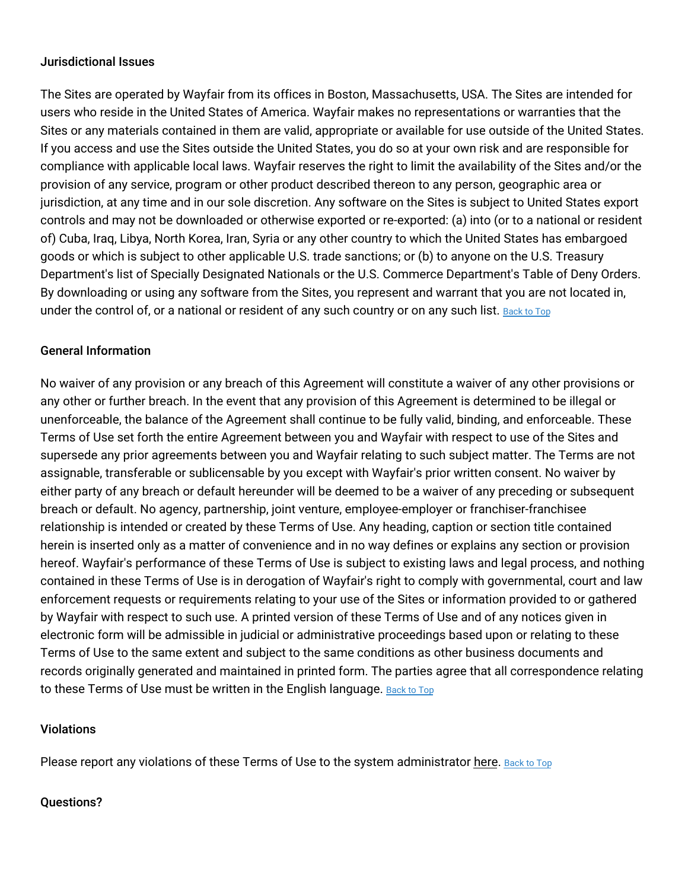#### Jurisdictional Issues

The Sites are operated by Wayfair from its offices in Boston, Massachusetts, USA. The Sites are intended for users who reside in the United States of America. Wayfair makes no representations or warranties that the Sites or any materials contained in them are valid, appropriate or available for use outside of the United States. If you access and use the Sites outside the United States, you do so at your own risk and are responsible for compliance with applicable local laws. Wayfair reserves the right to limit the availability of the Sites and/or the provision of any service, program or other product described thereon to any person, geographic area or jurisdiction, at any time and in our sole discretion. Any software on the Sites is subject to United States export controls and may not be downloaded or otherwise exported or re-exported: (a) into (or to a national or resident of) Cuba, Iraq, Libya, North Korea, Iran, Syria or any other country to which the United States has embargoed goods or which is subject to other applicable U.S. trade sanctions; or (b) to anyone on the U.S. Treasury Department's list of Specially Designated Nationals or the U.S. Commerce Department's Table of Deny Orders. By downloading or using any software from the Sites, you represent and warrant that you are not located in, under the control of, or a national or resident of any such country or on any such list. [Back](#top) to Top

#### General Information

No waiver of any provision or any breach of this Agreement will constitute a waiver of any other provisions or any other or further breach. In the event that any provision of this Agreement is determined to be illegal or unenforceable, the balance of the Agreement shall continue to be fully valid, binding, and enforceable. These Terms of Use set forth the entire Agreement between you and Wayfair with respect to use of the Sites and supersede any prior agreements between you and Wayfair relating to such subject matter. The Terms are not assignable, transferable or sublicensable by you except with Wayfair's prior written consent. No waiver by either party of any breach or default hereunder will be deemed to be a waiver of any preceding or subsequent breach or default. No agency, partnership, joint venture, employee-employer or franchiser-franchisee relationship is intended or created by these Terms of Use. Any heading, caption or section title contained herein is inserted only as a matter of convenience and in no way defines or explains any section or provision hereof. Wayfair's performance of these Terms of Use is subject to existing laws and legal process, and nothing contained in these Terms of Use is in derogation of Wayfair's right to comply with governmental, court and law enforcement requests or requirements relating to your use of the Sites or information provided to or gathered by Wayfair with respect to such use. A printed version of these Terms of Use and of any notices given in electronic form will be admissible in judicial or administrative proceedings based upon or relating to these Terms of Use to the same extent and subject to the same conditions as other business documents and records originally generated and maintained in printed form. The parties agree that all correspondence relating to these Terms of Use must be written in the English language. [Back](#top) to Top

#### Violations

Please report any violations of these Terms of Use to the system administrator [here.](https://www.wayfair.com/contact_us) [Back](#top) to Top

#### Questions?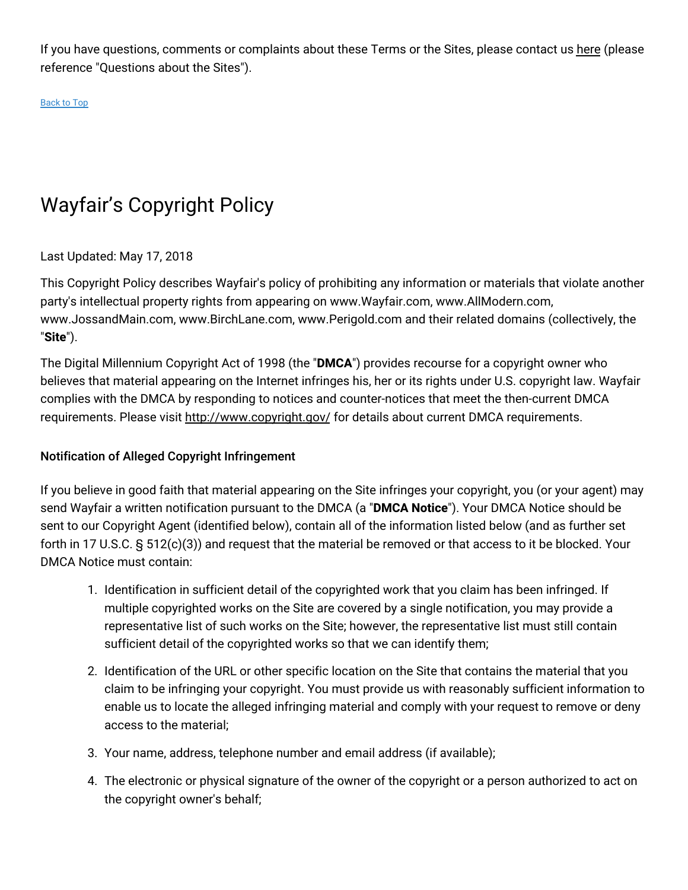If you have questions, comments or complaints about these Terms or the Sites, please contact us [here](https://www.wayfair.com/contact_us) (please reference "Questions about the Sites").

[Back](#top) to Top

# Wayfair's Copyright Policy

## Last Updated: May 17, 2018

This Copyright Policy describes Wayfair's policy of prohibiting any information or materials that violate another party's intellectual property rights from appearing on www.Wayfair.com, www.AllModern.com, www.JossandMain.com, www.BirchLane.com, www.Perigold.com and their related domains (collectively, the "**Site**").

The Digital Millennium Copyright Act of 1998 (the "**DMCA**") provides recourse for a copyright owner who believes that material appearing on the Internet infringes his, her or its rights under U.S. copyright law. Wayfair complies with the DMCA by responding to notices and counter-notices that meet the then-current DMCA requirements. Please visit <http://www.copyright.gov/> for details about current DMCA requirements.

## Notification of Alleged Copyright Infringement

If you believe in good faith that material appearing on the Site infringes your copyright, you (or your agent) may send Wayfair a written notification pursuant to the DMCA (a "**DMCA Notice**"). Your DMCA Notice should be sent to our Copyright Agent (identified below), contain all of the information listed below (and as further set forth in 17 U.S.C. § 512(c)(3)) and request that the material be removed or that access to it be blocked. Your DMCA Notice must contain:

- 1. Identification in sufficient detail of the copyrighted work that you claim has been infringed. If multiple copyrighted works on the Site are covered by a single notification, you may provide a representative list of such works on the Site; however, the representative list must still contain sufficient detail of the copyrighted works so that we can identify them;
- 2. Identification of the URL or other specific location on the Site that contains the material that you claim to be infringing your copyright. You must provide us with reasonably sufficient information to enable us to locate the alleged infringing material and comply with your request to remove or deny access to the material;
- 3. Your name, address, telephone number and email address (if available);
- 4. The electronic or physical signature of the owner of the copyright or a person authorized to act on the copyright owner's behalf;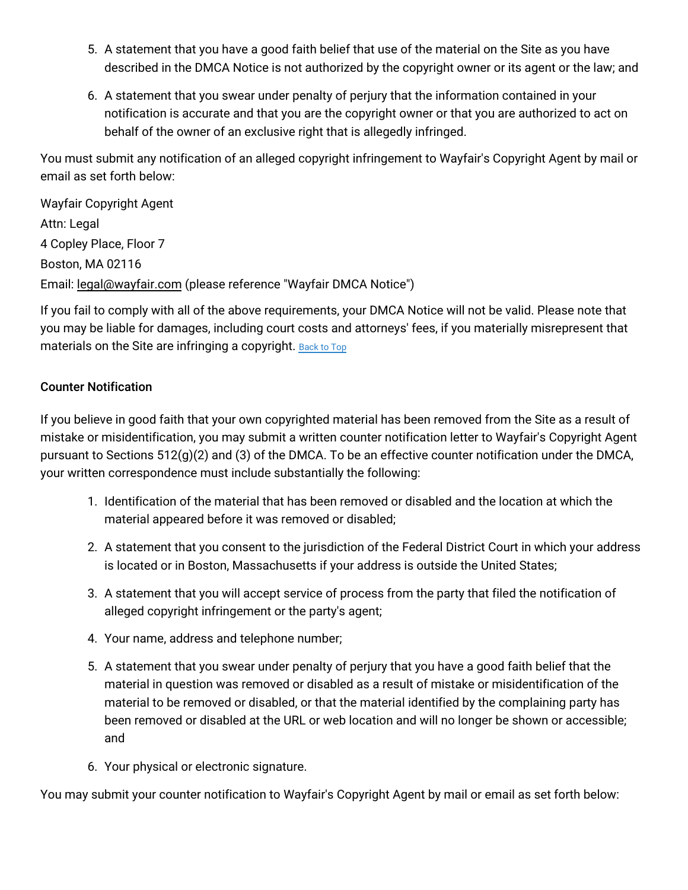- 5. A statement that you have a good faith belief that use of the material on the Site as you have described in the DMCA Notice is not authorized by the copyright owner or its agent or the law; and
- 6. A statement that you swear under penalty of perjury that the information contained in your notification is accurate and that you are the copyright owner or that you are authorized to act on behalf of the owner of an exclusive right that is allegedly infringed.

You must submit any notification of an alleged copyright infringement to Wayfair's Copyright Agent by mail or email as set forth below:

Wayfair Copyright Agent Attn: Legal 4 Copley Place, Floor 7 Boston, MA 02116 Email: [legal@wayfair.com](mailto:legal@wayfair.com) (please reference "Wayfair DMCA Notice")

If you fail to comply with all of the above requirements, your DMCA Notice will not be valid. Please note that you may be liable for damages, including court costs and attorneys' fees, if you materially misrepresent that materials on the Site are infringing a copyright. [Back](#top) to Top

## Counter Notification

If you believe in good faith that your own copyrighted material has been removed from the Site as a result of mistake or misidentification, you may submit a written counter notification letter to Wayfair's Copyright Agent pursuant to Sections 512(g)(2) and (3) of the DMCA. To be an effective counter notification under the DMCA, your written correspondence must include substantially the following:

- 1. Identification of the material that has been removed or disabled and the location at which the material appeared before it was removed or disabled;
- 2. A statement that you consent to the jurisdiction of the Federal District Court in which your address is located or in Boston, Massachusetts if your address is outside the United States;
- 3. A statement that you will accept service of process from the party that filed the notification of alleged copyright infringement or the party's agent;
- 4. Your name, address and telephone number;
- 5. A statement that you swear under penalty of perjury that you have a good faith belief that the material in question was removed or disabled as a result of mistake or misidentification of the material to be removed or disabled, or that the material identified by the complaining party has been removed or disabled at the URL or web location and will no longer be shown or accessible; and
- 6. Your physical or electronic signature.

You may submit your counter notification to Wayfair's Copyright Agent by mail or email as set forth below: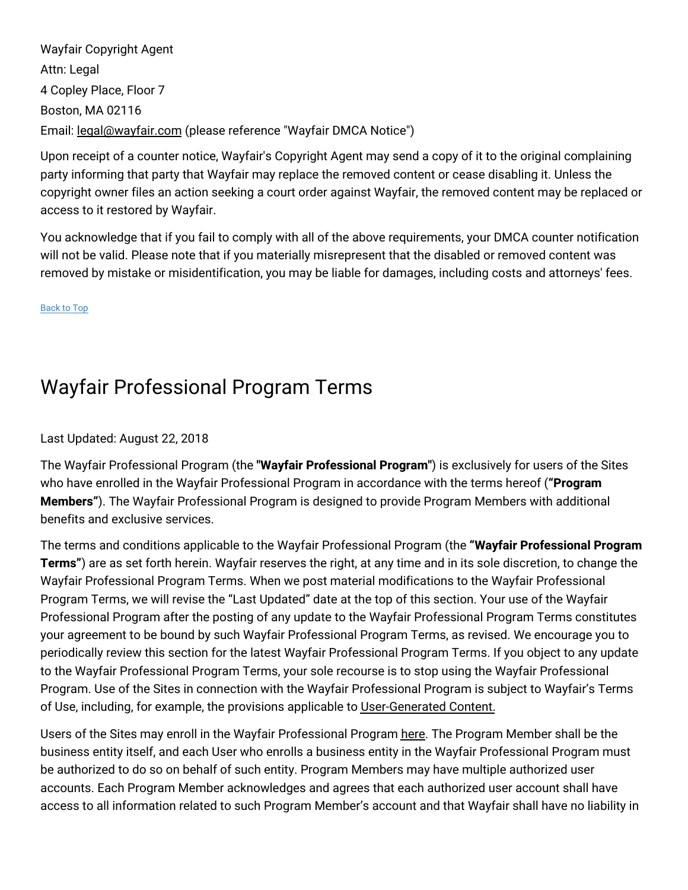Wayfair Copyright Agent Attn: Legal 4 Copley Place, Floor 7 Boston, MA 02116 Email: [legal@wayfair.com](mailto:legal@wayfair.com) (please reference "Wayfair DMCA Notice")

Upon receipt of a counter notice, Wayfair's Copyright Agent may send a copy of it to the original complaining party informing that party that Wayfair may replace the removed content or cease disabling it. Unless the copyright owner files an action seeking a court order against Wayfair, the removed content may be replaced or access to it restored by Wayfair.

You acknowledge that if you fail to comply with all of the above requirements, your DMCA counter notification will not be valid. Please note that if you materially misrepresent that the disabled or removed content was removed by mistake or misidentification, you may be liable for damages, including costs and attorneys' fees.

[Back](#top) to Top

# Wayfair Professional Program Terms

## Last Updated: August 22, 2018

The Wayfair Professional Program (the **"Wayfair Professional Program"**) is exclusively for users of the Sites who have enrolled in the Wayfair Professional Program in accordance with the terms hereof (**"Program Members"**). The Wayfair Professional Program is designed to provide Program Members with additional benefits and exclusive services.

The terms and conditions applicable to the Wayfair Professional Program (the **"Wayfair Professional Program Terms"**) are as set forth herein. Wayfair reserves the right, at any time and in its sole discretion, to change the Wayfair Professional Program Terms. When we post material modifications to the Wayfair Professional Program Terms, we will revise the "Last Updated" date at the top of this section. Your use of the Wayfair Professional Program after the posting of any update to the Wayfair Professional Program Terms constitutes your agreement to be bound by such Wayfair Professional Program Terms, as revised. We encourage you to periodically review this section for the latest Wayfair Professional Program Terms. If you object to any update to the Wayfair Professional Program Terms, your sole recourse is to stop using the Wayfair Professional Program. Use of the Sites in connection with the Wayfair Professional Program is subject to Wayfair's Terms of Use, including, for example, the provisions applicable to [User-Generated](#usercontent) Content.

Users of the Sites may enroll in the Wayfair Professional Program [here.](https://www.wayfair.com/v/business_account/application/pico?) The Program Member shall be the business entity itself, and each User who enrolls a business entity in the Wayfair Professional Program must be authorized to do so on behalf of such entity. Program Members may have multiple authorized user accounts. Each Program Member acknowledges and agrees that each authorized user account shall have access to all information related to such Program Member's account and that Wayfair shall have no liability in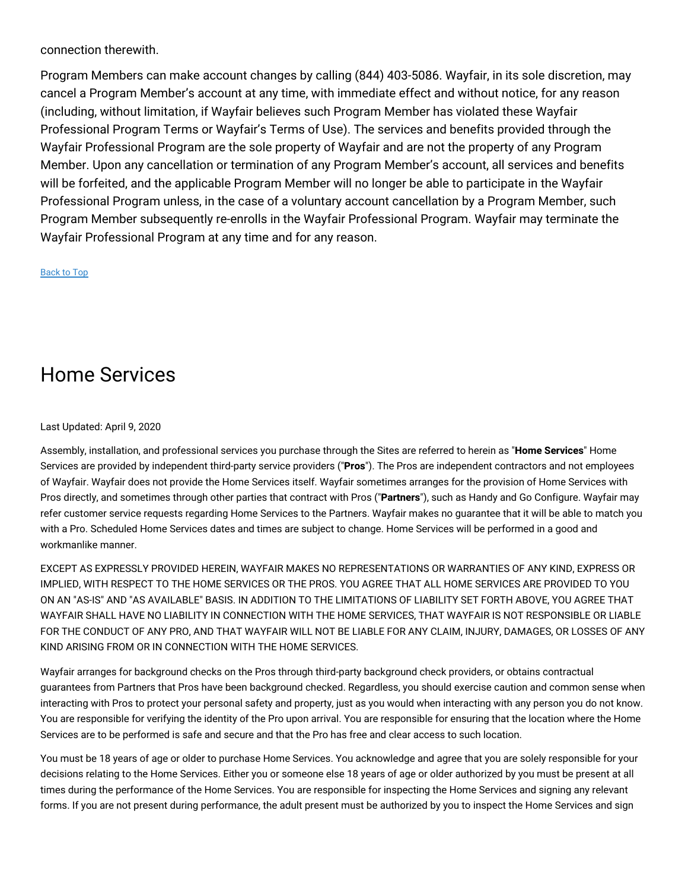connection therewith.

Program Members can make account changes by calling (844) 403-5086. Wayfair, in its sole discretion, may cancel a Program Member's account at any time, with immediate effect and without notice, for any reason (including, without limitation, if Wayfair believes such Program Member has violated these Wayfair Professional Program Terms or Wayfair's Terms of Use). The services and benefits provided through the Wayfair Professional Program are the sole property of Wayfair and are not the property of any Program Member. Upon any cancellation or termination of any Program Member's account, all services and benefits will be forfeited, and the applicable Program Member will no longer be able to participate in the Wayfair Professional Program unless, in the case of a voluntary account cancellation by a Program Member, such Program Member subsequently re-enrolls in the Wayfair Professional Program. Wayfair may terminate the Wayfair Professional Program at any time and for any reason.

[Back](#top) to Top

# Home Services

#### Last Updated: April 9, 2020

Assembly, installation, and professional services you purchase through the Sites are referred to herein as "**Home Services**" Home Services are provided by independent third-party service providers ("**Pros**"). The Pros are independent contractors and not employees of Wayfair. Wayfair does not provide the Home Services itself. Wayfair sometimes arranges for the provision of Home Services with Pros directly, and sometimes through other parties that contract with Pros ("**Partners**"), such as Handy and Go Configure. Wayfair may refer customer service requests regarding Home Services to the Partners. Wayfair makes no guarantee that it will be able to match you with a Pro. Scheduled Home Services dates and times are subject to change. Home Services will be performed in a good and workmanlike manner.

EXCEPT AS EXPRESSLY PROVIDED HEREIN, WAYFAIR MAKES NO REPRESENTATIONS OR WARRANTIES OF ANY KIND, EXPRESS OR IMPLIED, WITH RESPECT TO THE HOME SERVICES OR THE PROS. YOU AGREE THAT ALL HOME SERVICES ARE PROVIDED TO YOU ON AN "AS-IS" AND "AS AVAILABLE" BASIS. IN ADDITION TO THE LIMITATIONS OF LIABILITY SET FORTH ABOVE, YOU AGREE THAT WAYFAIR SHALL HAVE NO LIABILITY IN CONNECTION WITH THE HOME SERVICES, THAT WAYFAIR IS NOT RESPONSIBLE OR LIABLE FOR THE CONDUCT OF ANY PRO, AND THAT WAYFAIR WILL NOT BE LIABLE FOR ANY CLAIM, INJURY, DAMAGES, OR LOSSES OF ANY KIND ARISING FROM OR IN CONNECTION WITH THE HOME SERVICES.

Wayfair arranges for background checks on the Pros through third-party background check providers, or obtains contractual guarantees from Partners that Pros have been background checked. Regardless, you should exercise caution and common sense when interacting with Pros to protect your personal safety and property, just as you would when interacting with any person you do not know. You are responsible for verifying the identity of the Pro upon arrival. You are responsible for ensuring that the location where the Home Services are to be performed is safe and secure and that the Pro has free and clear access to such location.

You must be 18 years of age or older to purchase Home Services. You acknowledge and agree that you are solely responsible for your decisions relating to the Home Services. Either you or someone else 18 years of age or older authorized by you must be present at all times during the performance of the Home Services. You are responsible for inspecting the Home Services and signing any relevant forms. If you are not present during performance, the adult present must be authorized by you to inspect the Home Services and sign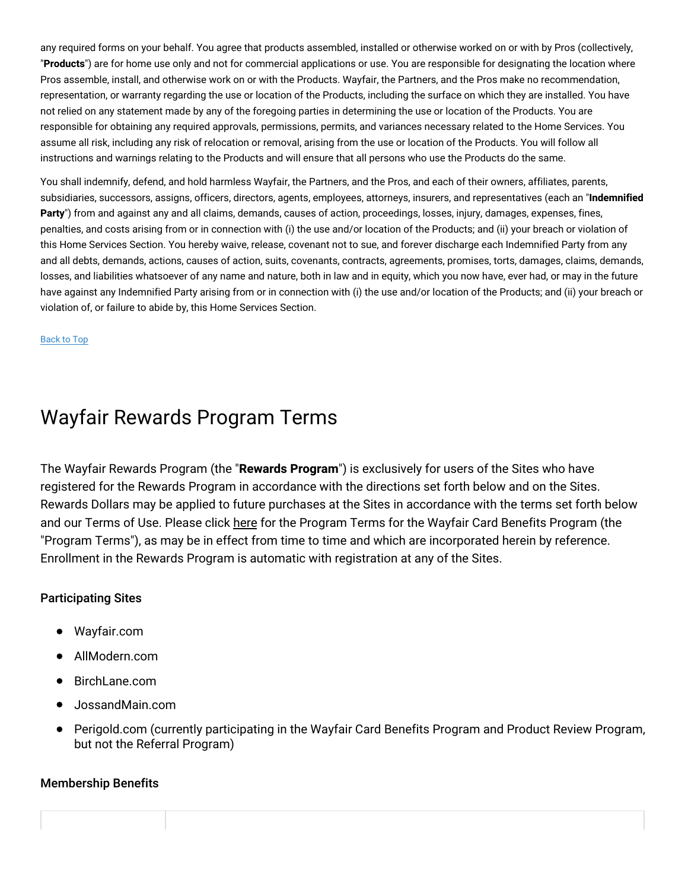any required forms on your behalf. You agree that products assembled, installed or otherwise worked on or with by Pros (collectively, "**Products**") are for home use only and not for commercial applications or use. You are responsible for designating the location where Pros assemble, install, and otherwise work on or with the Products. Wayfair, the Partners, and the Pros make no recommendation, representation, or warranty regarding the use or location of the Products, including the surface on which they are installed. You have not relied on any statement made by any of the foregoing parties in determining the use or location of the Products. You are responsible for obtaining any required approvals, permissions, permits, and variances necessary related to the Home Services. You assume all risk, including any risk of relocation or removal, arising from the use or location of the Products. You will follow all instructions and warnings relating to the Products and will ensure that all persons who use the Products do the same.

You shall indemnify, defend, and hold harmless Wayfair, the Partners, and the Pros, and each of their owners, affiliates, parents, subsidiaries, successors, assigns, officers, directors, agents, employees, attorneys, insurers, and representatives (each an "**Indemnified Party**") from and against any and all claims, demands, causes of action, proceedings, losses, injury, damages, expenses, fines, penalties, and costs arising from or in connection with (i) the use and/or location of the Products; and (ii) your breach or violation of this Home Services Section. You hereby waive, release, covenant not to sue, and forever discharge each Indemnified Party from any and all debts, demands, actions, causes of action, suits, covenants, contracts, agreements, promises, torts, damages, claims, demands, losses, and liabilities whatsoever of any name and nature, both in law and in equity, which you now have, ever had, or may in the future have against any Indemnified Party arising from or in connection with (i) the use and/or location of the Products; and (ii) your breach or violation of, or failure to abide by, this Home Services Section.

[Back](#top) to Top

# Wayfair Rewards Program Terms

The Wayfair Rewards Program (the "**Rewards Program**") is exclusively for users of the Sites who have registered for the Rewards Program in accordance with the directions set forth below and on the Sites. Rewards Dollars may be applied to future purchases at the Sites in accordance with the terms set forth below and our Terms of Use. Please click [here](#wfus-creditcard) for the Program Terms for the Wayfair Card Benefits Program (the "Program Terms"), as may be in effect from time to time and which are incorporated herein by reference. Enrollment in the Rewards Program is automatic with registration at any of the Sites.

#### Participating Sites

- Wayfair.com
- AllModern.com
- BirchLane.com
- JossandMain.com
- Perigold.com (currently participating in the Wayfair Card Benefits Program and Product Review Program, but not the Referral Program)

#### Membership Benefits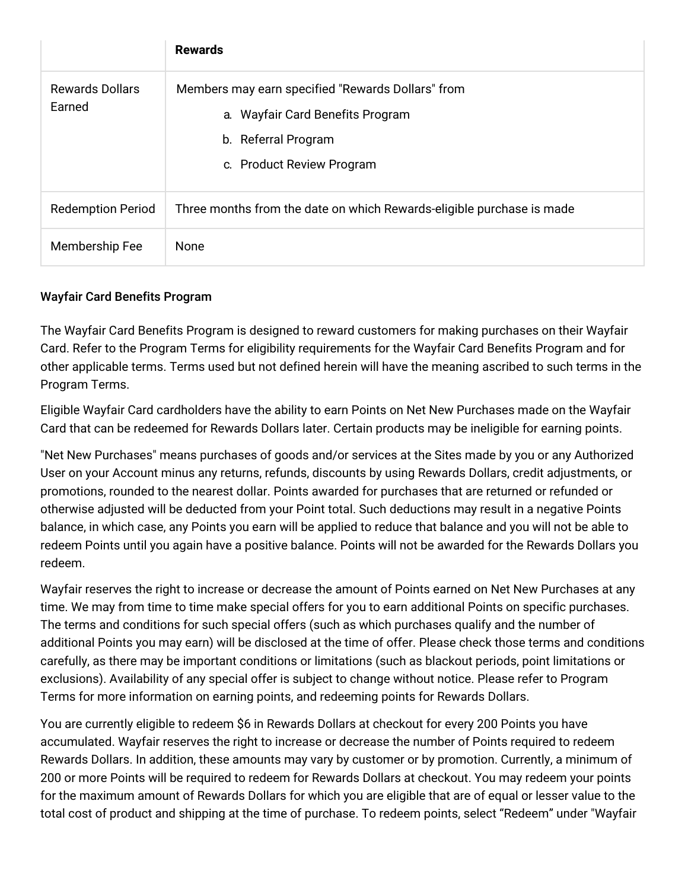|                                  | <b>Rewards</b>                                                                                                                            |
|----------------------------------|-------------------------------------------------------------------------------------------------------------------------------------------|
| <b>Rewards Dollars</b><br>Earned | Members may earn specified "Rewards Dollars" from<br>a. Wayfair Card Benefits Program<br>b. Referral Program<br>c. Product Review Program |
| <b>Redemption Period</b>         | Three months from the date on which Rewards-eligible purchase is made                                                                     |
| Membership Fee                   | None                                                                                                                                      |

## Wayfair Card Benefits Program

The Wayfair Card Benefits Program is designed to reward customers for making purchases on their Wayfair Card. Refer to the Program Terms for eligibility requirements for the Wayfair Card Benefits Program and for other applicable terms. Terms used but not defined herein will have the meaning ascribed to such terms in the Program Terms.

Eligible Wayfair Card cardholders have the ability to earn Points on Net New Purchases made on the Wayfair Card that can be redeemed for Rewards Dollars later. Certain products may be ineligible for earning points.

"Net New Purchases" means purchases of goods and/or services at the Sites made by you or any Authorized User on your Account minus any returns, refunds, discounts by using Rewards Dollars, credit adjustments, or promotions, rounded to the nearest dollar. Points awarded for purchases that are returned or refunded or otherwise adjusted will be deducted from your Point total. Such deductions may result in a negative Points balance, in which case, any Points you earn will be applied to reduce that balance and you will not be able to redeem Points until you again have a positive balance. Points will not be awarded for the Rewards Dollars you redeem.

Wayfair reserves the right to increase or decrease the amount of Points earned on Net New Purchases at any time. We may from time to time make special offers for you to earn additional Points on specific purchases. The terms and conditions for such special offers (such as which purchases qualify and the number of additional Points you may earn) will be disclosed at the time of offer. Please check those terms and conditions carefully, as there may be important conditions or limitations (such as blackout periods, point limitations or exclusions). Availability of any special offer is subject to change without notice. Please refer to Program Terms for more information on earning points, and redeeming points for Rewards Dollars.

You are currently eligible to redeem \$6 in Rewards Dollars at checkout for every 200 Points you have accumulated. Wayfair reserves the right to increase or decrease the number of Points required to redeem Rewards Dollars. In addition, these amounts may vary by customer or by promotion. Currently, a minimum of 200 or more Points will be required to redeem for Rewards Dollars at checkout. You may redeem your points for the maximum amount of Rewards Dollars for which you are eligible that are of equal or lesser value to the total cost of product and shipping at the time of purchase. To redeem points, select "Redeem" under "Wayfair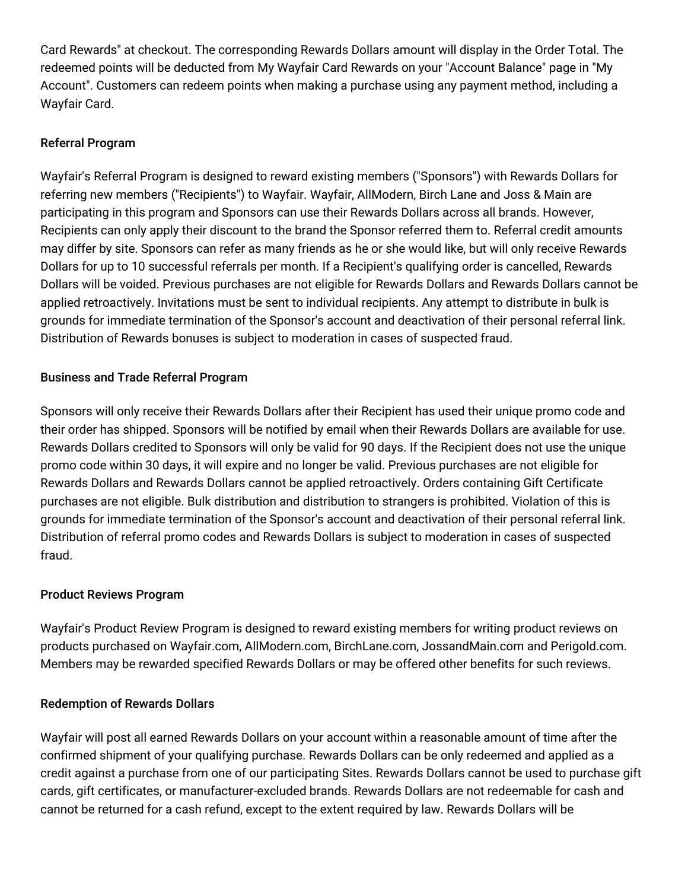Card Rewards" at checkout. The corresponding Rewards Dollars amount will display in the Order Total. The redeemed points will be deducted from My Wayfair Card Rewards on your "Account Balance" page in "My Account". Customers can redeem points when making a purchase using any payment method, including a Wayfair Card.

## Referral Program

Wayfair's Referral Program is designed to reward existing members ("Sponsors") with Rewards Dollars for referring new members ("Recipients") to Wayfair. Wayfair, AllModern, Birch Lane and Joss & Main are participating in this program and Sponsors can use their Rewards Dollars across all brands. However, Recipients can only apply their discount to the brand the Sponsor referred them to. Referral credit amounts may differ by site. Sponsors can refer as many friends as he or she would like, but will only receive Rewards Dollars for up to 10 successful referrals per month. If a Recipient's qualifying order is cancelled, Rewards Dollars will be voided. Previous purchases are not eligible for Rewards Dollars and Rewards Dollars cannot be applied retroactively. Invitations must be sent to individual recipients. Any attempt to distribute in bulk is grounds for immediate termination of the Sponsor's account and deactivation of their personal referral link. Distribution of Rewards bonuses is subject to moderation in cases of suspected fraud.

## Business and Trade Referral Program

Sponsors will only receive their Rewards Dollars after their Recipient has used their unique promo code and their order has shipped. Sponsors will be notified by email when their Rewards Dollars are available for use. Rewards Dollars credited to Sponsors will only be valid for 90 days. If the Recipient does not use the unique promo code within 30 days, it will expire and no longer be valid. Previous purchases are not eligible for Rewards Dollars and Rewards Dollars cannot be applied retroactively. Orders containing Gift Certificate purchases are not eligible. Bulk distribution and distribution to strangers is prohibited. Violation of this is grounds for immediate termination of the Sponsor's account and deactivation of their personal referral link. Distribution of referral promo codes and Rewards Dollars is subject to moderation in cases of suspected fraud.

## Product Reviews Program

Wayfair's Product Review Program is designed to reward existing members for writing product reviews on products purchased on Wayfair.com, AllModern.com, BirchLane.com, JossandMain.com and Perigold.com. Members may be rewarded specified Rewards Dollars or may be offered other benefits for such reviews.

## Redemption of Rewards Dollars

Wayfair will post all earned Rewards Dollars on your account within a reasonable amount of time after the confirmed shipment of your qualifying purchase. Rewards Dollars can be only redeemed and applied as a credit against a purchase from one of our participating Sites. Rewards Dollars cannot be used to purchase gift cards, gift certificates, or manufacturer-excluded brands. Rewards Dollars are not redeemable for cash and cannot be returned for a cash refund, except to the extent required by law. Rewards Dollars will be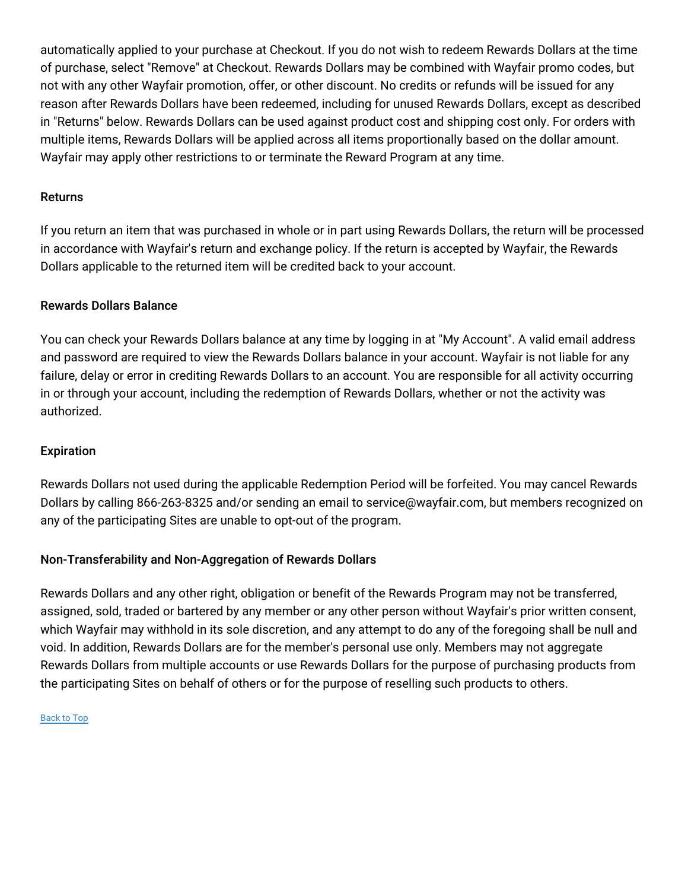automatically applied to your purchase at Checkout. If you do not wish to redeem Rewards Dollars at the time of purchase, select "Remove" at Checkout. Rewards Dollars may be combined with Wayfair promo codes, but not with any other Wayfair promotion, offer, or other discount. No credits or refunds will be issued for any reason after Rewards Dollars have been redeemed, including for unused Rewards Dollars, except as described in "Returns" below. Rewards Dollars can be used against product cost and shipping cost only. For orders with multiple items, Rewards Dollars will be applied across all items proportionally based on the dollar amount. Wayfair may apply other restrictions to or terminate the Reward Program at any time.

## Returns

If you return an item that was purchased in whole or in part using Rewards Dollars, the return will be processed in accordance with Wayfair's return and exchange policy. If the return is accepted by Wayfair, the Rewards Dollars applicable to the returned item will be credited back to your account.

#### Rewards Dollars Balance

You can check your Rewards Dollars balance at any time by logging in at "My Account". A valid email address and password are required to view the Rewards Dollars balance in your account. Wayfair is not liable for any failure, delay or error in crediting Rewards Dollars to an account. You are responsible for all activity occurring in or through your account, including the redemption of Rewards Dollars, whether or not the activity was authorized.

#### Expiration

Rewards Dollars not used during the applicable Redemption Period will be forfeited. You may cancel Rewards Dollars by calling 866-263-8325 and/or sending an email to service@wayfair.com, but members recognized on any of the participating Sites are unable to opt-out of the program.

## Non-Transferability and Non-Aggregation of Rewards Dollars

Rewards Dollars and any other right, obligation or benefit of the Rewards Program may not be transferred, assigned, sold, traded or bartered by any member or any other person without Wayfair's prior written consent, which Wayfair may withhold in its sole discretion, and any attempt to do any of the foregoing shall be null and void. In addition, Rewards Dollars are for the member's personal use only. Members may not aggregate Rewards Dollars from multiple accounts or use Rewards Dollars for the purpose of purchasing products from the participating Sites on behalf of others or for the purpose of reselling such products to others.

#### [Back](#top) to Top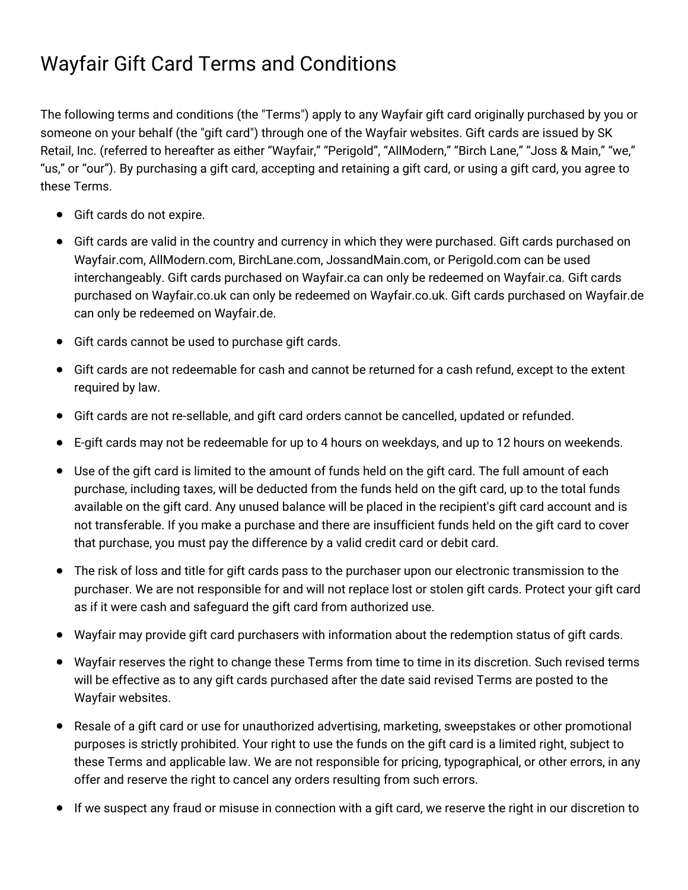# Wayfair Gift Card Terms and Conditions

The following terms and conditions (the "Terms") apply to any Wayfair gift card originally purchased by you or someone on your behalf (the "gift card") through one of the Wayfair websites. Gift cards are issued by SK Retail, Inc. (referred to hereafter as either "Wayfair," "Perigold", "AllModern," "Birch Lane," "Joss & Main," "we," "us," or "our"). By purchasing a gift card, accepting and retaining a gift card, or using a gift card, you agree to these Terms.

- Gift cards do not expire.
- Gift cards are valid in the country and currency in which they were purchased. Gift cards purchased on Wayfair.com, AllModern.com, BirchLane.com, JossandMain.com, or Perigold.com can be used interchangeably. Gift cards purchased on Wayfair.ca can only be redeemed on Wayfair.ca. Gift cards purchased on Wayfair.co.uk can only be redeemed on Wayfair.co.uk. Gift cards purchased on Wayfair.de can only be redeemed on Wayfair.de.
- Gift cards cannot be used to purchase gift cards.
- Gift cards are not redeemable for cash and cannot be returned for a cash refund, except to the extent required by law.
- Gift cards are not re-sellable, and gift card orders cannot be cancelled, updated or refunded.
- E-gift cards may not be redeemable for up to 4 hours on weekdays, and up to 12 hours on weekends.
- Use of the gift card is limited to the amount of funds held on the gift card. The full amount of each purchase, including taxes, will be deducted from the funds held on the gift card, up to the total funds available on the gift card. Any unused balance will be placed in the recipient's gift card account and is not transferable. If you make a purchase and there are insufficient funds held on the gift card to cover that purchase, you must pay the difference by a valid credit card or debit card.
- The risk of loss and title for gift cards pass to the purchaser upon our electronic transmission to the purchaser. We are not responsible for and will not replace lost or stolen gift cards. Protect your gift card as if it were cash and safeguard the gift card from authorized use.
- Wayfair may provide gift card purchasers with information about the redemption status of gift cards.
- Wayfair reserves the right to change these Terms from time to time in its discretion. Such revised terms will be effective as to any gift cards purchased after the date said revised Terms are posted to the Wayfair websites.
- Resale of a gift card or use for unauthorized advertising, marketing, sweepstakes or other promotional purposes is strictly prohibited. Your right to use the funds on the gift card is a limited right, subject to these Terms and applicable law. We are not responsible for pricing, typographical, or other errors, in any offer and reserve the right to cancel any orders resulting from such errors.
- If we suspect any fraud or misuse in connection with a gift card, we reserve the right in our discretion to